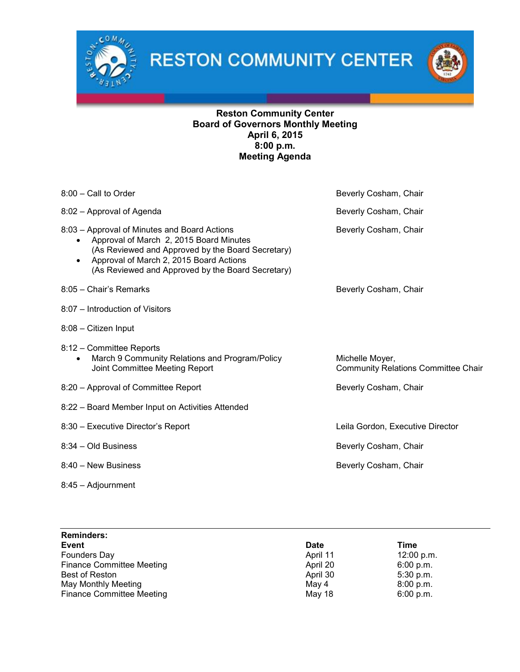

**RESTON COMMUNITY CENTER** 



## Reston Community Center Board of Governors Monthly Meeting April 6, 2015 8:00 p.m. Meeting Agenda

| $8:00$ – Call to Order                                                                                                                                                                                                                       | Beverly Cosham, Chair                                         |
|----------------------------------------------------------------------------------------------------------------------------------------------------------------------------------------------------------------------------------------------|---------------------------------------------------------------|
| 8:02 - Approval of Agenda                                                                                                                                                                                                                    | Beverly Cosham, Chair                                         |
| 8:03 - Approval of Minutes and Board Actions<br>Approval of March 2, 2015 Board Minutes<br>(As Reviewed and Approved by the Board Secretary)<br>Approval of March 2, 2015 Board Actions<br>(As Reviewed and Approved by the Board Secretary) | Beverly Cosham, Chair                                         |
| 8:05 - Chair's Remarks                                                                                                                                                                                                                       | Beverly Cosham, Chair                                         |
| 8:07 - Introduction of Visitors                                                                                                                                                                                                              |                                                               |
| 8:08 - Citizen Input                                                                                                                                                                                                                         |                                                               |
| 8:12 - Committee Reports<br>March 9 Community Relations and Program/Policy<br>$\bullet$<br>Joint Committee Meeting Report                                                                                                                    | Michelle Moyer,<br><b>Community Relations Committee Chair</b> |
| 8:20 - Approval of Committee Report                                                                                                                                                                                                          | Beverly Cosham, Chair                                         |
| 8:22 - Board Member Input on Activities Attended                                                                                                                                                                                             |                                                               |
| 8:30 - Executive Director's Report                                                                                                                                                                                                           | Leila Gordon, Executive Director                              |
| 8:34 – Old Business                                                                                                                                                                                                                          | Beverly Cosham, Chair                                         |
| 8:40 - New Business                                                                                                                                                                                                                          | Beverly Cosham, Chair                                         |
| 8:45 - Adjournment                                                                                                                                                                                                                           |                                                               |

| <b>Reminders:</b>                |             |             |
|----------------------------------|-------------|-------------|
| <b>Event</b>                     | <b>Date</b> | Time        |
| Founders Day                     | April 11    | 12:00 p.m.  |
| <b>Finance Committee Meeting</b> | April 20    | 6:00 p.m.   |
| Best of Reston                   | April 30    | $5:30$ p.m. |
| May Monthly Meeting              | May 4       | 8:00 p.m.   |
| <b>Finance Committee Meeting</b> | May 18      | 6:00 p.m.   |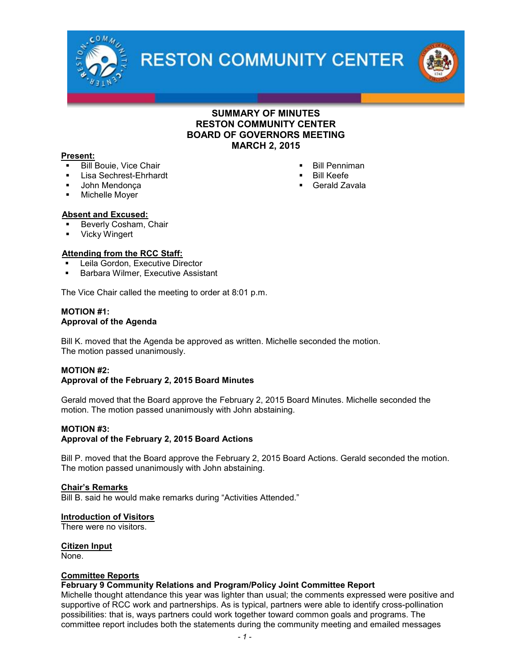

**RESTON COMMUNITY CENTER** 



## SUMMARY OF MINUTES RESTON COMMUNITY CENTER BOARD OF GOVERNORS MEETING MARCH 2, 2015

 Bill Penniman Bill Keefe Gerald Zavala

#### Present:

- Bill Bouie, Vice Chair
- Lisa Sechrest-Ehrhardt
- **John Mendonca**
- **Michelle Moyer**

### Absent and Excused:

- **Beverly Cosham, Chair**<br>Dicky Wingert
- Vicky Wingert

#### Attending from the RCC Staff:

- Leila Gordon, Executive Director
- **Barbara Wilmer, Executive Assistant**

The Vice Chair called the meeting to order at 8:01 p.m.

#### MOTION #1: Approval of the Agenda

Bill K. moved that the Agenda be approved as written. Michelle seconded the motion. The motion passed unanimously.

### MOTION #2:

### Approval of the February 2, 2015 Board Minutes

Gerald moved that the Board approve the February 2, 2015 Board Minutes. Michelle seconded the motion. The motion passed unanimously with John abstaining.

### MOTION #3:

### Approval of the February 2, 2015 Board Actions

Bill P. moved that the Board approve the February 2, 2015 Board Actions. Gerald seconded the motion. The motion passed unanimously with John abstaining.

#### Chair's Remarks

Bill B. said he would make remarks during "Activities Attended."

#### Introduction of Visitors

There were no visitors.

#### Citizen Input None.

### Committee Reports

### February 9 Community Relations and Program/Policy Joint Committee Report

Michelle thought attendance this year was lighter than usual; the comments expressed were positive and supportive of RCC work and partnerships. As is typical, partners were able to identify cross-pollination possibilities: that is, ways partners could work together toward common goals and programs. The committee report includes both the statements during the community meeting and emailed messages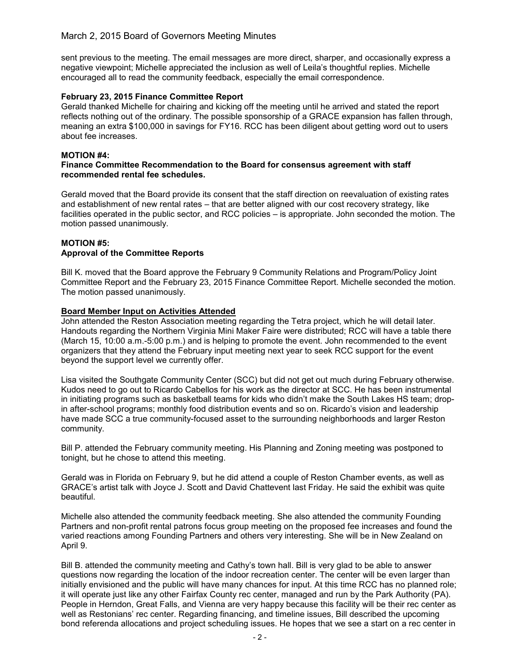## March 2, 2015 Board of Governors Meeting Minutes

sent previous to the meeting. The email messages are more direct, sharper, and occasionally express a negative viewpoint; Michelle appreciated the inclusion as well of Leila's thoughtful replies. Michelle encouraged all to read the community feedback, especially the email correspondence.

## February 23, 2015 Finance Committee Report

Gerald thanked Michelle for chairing and kicking off the meeting until he arrived and stated the report reflects nothing out of the ordinary. The possible sponsorship of a GRACE expansion has fallen through, meaning an extra \$100,000 in savings for FY16. RCC has been diligent about getting word out to users about fee increases.

### MOTION #4:

#### Finance Committee Recommendation to the Board for consensus agreement with staff recommended rental fee schedules.

Gerald moved that the Board provide its consent that the staff direction on reevaluation of existing rates and establishment of new rental rates – that are better aligned with our cost recovery strategy, like facilities operated in the public sector, and RCC policies – is appropriate. John seconded the motion. The motion passed unanimously.

#### MOTION #5: Approval of the Committee Reports

Bill K. moved that the Board approve the February 9 Community Relations and Program/Policy Joint Committee Report and the February 23, 2015 Finance Committee Report. Michelle seconded the motion. The motion passed unanimously.

### Board Member Input on Activities Attended

John attended the Reston Association meeting regarding the Tetra project, which he will detail later. Handouts regarding the Northern Virginia Mini Maker Faire were distributed; RCC will have a table there (March 15, 10:00 a.m.-5:00 p.m.) and is helping to promote the event. John recommended to the event organizers that they attend the February input meeting next year to seek RCC support for the event beyond the support level we currently offer.

Lisa visited the Southgate Community Center (SCC) but did not get out much during February otherwise. Kudos need to go out to Ricardo Cabellos for his work as the director at SCC. He has been instrumental in initiating programs such as basketball teams for kids who didn't make the South Lakes HS team; dropin after-school programs; monthly food distribution events and so on. Ricardo's vision and leadership have made SCC a true community-focused asset to the surrounding neighborhoods and larger Reston community.

Bill P. attended the February community meeting. His Planning and Zoning meeting was postponed to tonight, but he chose to attend this meeting.

Gerald was in Florida on February 9, but he did attend a couple of Reston Chamber events, as well as GRACE's artist talk with Joyce J. Scott and David Chattevent last Friday. He said the exhibit was quite beautiful.

Michelle also attended the community feedback meeting. She also attended the community Founding Partners and non-profit rental patrons focus group meeting on the proposed fee increases and found the varied reactions among Founding Partners and others very interesting. She will be in New Zealand on April 9.

Bill B. attended the community meeting and Cathy's town hall. Bill is very glad to be able to answer questions now regarding the location of the indoor recreation center. The center will be even larger than initially envisioned and the public will have many chances for input. At this time RCC has no planned role; it will operate just like any other Fairfax County rec center, managed and run by the Park Authority (PA). People in Herndon, Great Falls, and Vienna are very happy because this facility will be their rec center as well as Restonians' rec center. Regarding financing, and timeline issues, Bill described the upcoming bond referenda allocations and project scheduling issues. He hopes that we see a start on a rec center in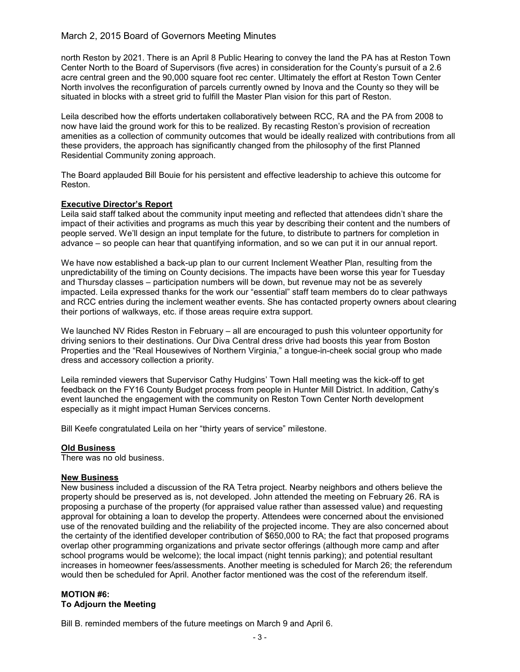## March 2, 2015 Board of Governors Meeting Minutes

north Reston by 2021. There is an April 8 Public Hearing to convey the land the PA has at Reston Town Center North to the Board of Supervisors (five acres) in consideration for the County's pursuit of a 2.6 acre central green and the 90,000 square foot rec center. Ultimately the effort at Reston Town Center North involves the reconfiguration of parcels currently owned by Inova and the County so they will be situated in blocks with a street grid to fulfill the Master Plan vision for this part of Reston.

Leila described how the efforts undertaken collaboratively between RCC, RA and the PA from 2008 to now have laid the ground work for this to be realized. By recasting Reston's provision of recreation amenities as a collection of community outcomes that would be ideally realized with contributions from all these providers, the approach has significantly changed from the philosophy of the first Planned Residential Community zoning approach.

The Board applauded Bill Bouie for his persistent and effective leadership to achieve this outcome for Reston.

### Executive Director's Report

Leila said staff talked about the community input meeting and reflected that attendees didn't share the impact of their activities and programs as much this year by describing their content and the numbers of people served. We'll design an input template for the future, to distribute to partners for completion in advance – so people can hear that quantifying information, and so we can put it in our annual report.

We have now established a back-up plan to our current Inclement Weather Plan, resulting from the unpredictability of the timing on County decisions. The impacts have been worse this year for Tuesday and Thursday classes – participation numbers will be down, but revenue may not be as severely impacted. Leila expressed thanks for the work our "essential" staff team members do to clear pathways and RCC entries during the inclement weather events. She has contacted property owners about clearing their portions of walkways, etc. if those areas require extra support.

We launched NV Rides Reston in February – all are encouraged to push this volunteer opportunity for driving seniors to their destinations. Our Diva Central dress drive had boosts this year from Boston Properties and the "Real Housewives of Northern Virginia," a tongue-in-cheek social group who made dress and accessory collection a priority.

Leila reminded viewers that Supervisor Cathy Hudgins' Town Hall meeting was the kick-off to get feedback on the FY16 County Budget process from people in Hunter Mill District. In addition, Cathy's event launched the engagement with the community on Reston Town Center North development especially as it might impact Human Services concerns.

Bill Keefe congratulated Leila on her "thirty years of service" milestone.

### Old Business

There was no old business.

### New Business

New business included a discussion of the RA Tetra project. Nearby neighbors and others believe the property should be preserved as is, not developed. John attended the meeting on February 26. RA is proposing a purchase of the property (for appraised value rather than assessed value) and requesting approval for obtaining a loan to develop the property. Attendees were concerned about the envisioned use of the renovated building and the reliability of the projected income. They are also concerned about the certainty of the identified developer contribution of \$650,000 to RA; the fact that proposed programs overlap other programming organizations and private sector offerings (although more camp and after school programs would be welcome); the local impact (night tennis parking); and potential resultant increases in homeowner fees/assessments. Another meeting is scheduled for March 26; the referendum would then be scheduled for April. Another factor mentioned was the cost of the referendum itself.

### MOTION #6: To Adjourn the Meeting

Bill B. reminded members of the future meetings on March 9 and April 6.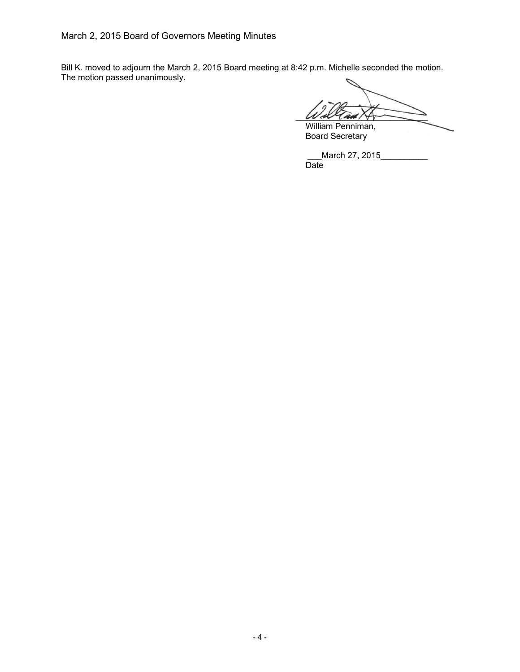Bill K. moved to adjourn the March 2, 2015 Board meeting at 8:42 p.m. Michelle seconded the motion. The motion passed unanimously.

 $W$  all  $\ell$  and  $\land$ William Penniman,

Board Secretary

\_March 27, 2015\_\_\_\_\_\_\_\_\_\_ Date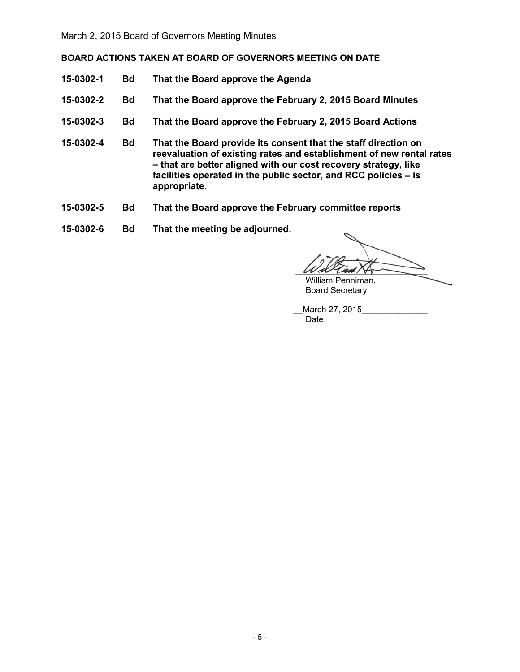BOARD ACTIONS TAKEN AT BOARD OF GOVERNORS MEETING ON DATE

- 15-0302-1 Bd That the Board approve the Agenda
- 15-0302-2 Bd That the Board approve the February 2, 2015 Board Minutes
- 15-0302-3 Bd That the Board approve the February 2, 2015 Board Actions
- 15-0302-4 Bd That the Board provide its consent that the staff direction on reevaluation of existing rates and establishment of new rental rates – that are better aligned with our cost recovery strategy, like facilities operated in the public sector, and RCC policies – is appropriate.
- 15-0302-5 Bd That the Board approve the February committee reports
- 15-0302-6 Bd That the meeting be adjourned.

 $\mathcal{U}/\mathcal{A}$ William Penniman,

Board Secretary

March 27, 2015 Date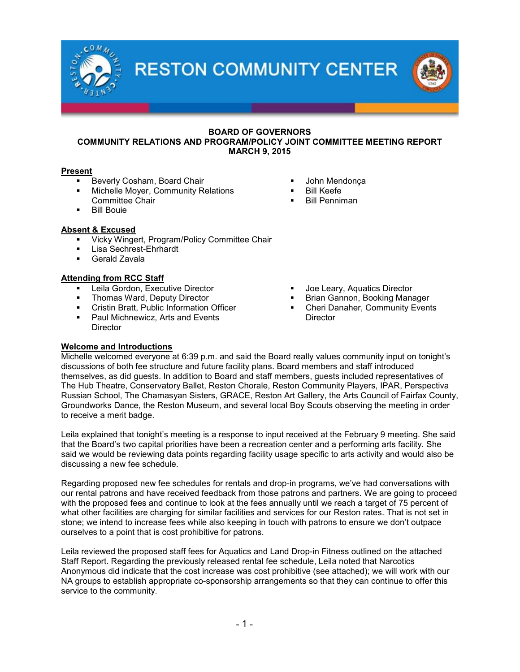**RESTON COMMUNITY CENTER** 

## BOARD OF GOVERNORS COMMUNITY RELATIONS AND PROGRAM/POLICY JOINT COMMITTEE MEETING REPORT MARCH 9, 2015

## Present

- Beverly Cosham, Board Chair
- Michelle Moyer, Community Relations Committee Chair
- Bill Bouie

## Absent & Excused

- Vicky Wingert, Program/Policy Committee Chair
- Lisa Sechrest-Ehrhardt
- Gerald Zavala

## Attending from RCC Staff

- Leila Gordon, Executive Director
- Thomas Ward, Deputy Director
- Cristin Bratt, Public Information Officer
- **Paul Michnewicz, Arts and Events Director**
- John Mendonça
- Bill Keefe
- Bill Penniman

- Joe Leary, Aquatics Director
- Brian Gannon, Booking Manager
- Cheri Danaher, Community Events **Director**

## Welcome and Introductions

Michelle welcomed everyone at 6:39 p.m. and said the Board really values community input on tonight's discussions of both fee structure and future facility plans. Board members and staff introduced themselves, as did guests. In addition to Board and staff members, guests included representatives of The Hub Theatre, Conservatory Ballet, Reston Chorale, Reston Community Players, IPAR, Perspectiva Russian School, The Chamasyan Sisters, GRACE, Reston Art Gallery, the Arts Council of Fairfax County, Groundworks Dance, the Reston Museum, and several local Boy Scouts observing the meeting in order to receive a merit badge.

Leila explained that tonight's meeting is a response to input received at the February 9 meeting. She said that the Board's two capital priorities have been a recreation center and a performing arts facility. She said we would be reviewing data points regarding facility usage specific to arts activity and would also be discussing a new fee schedule.

Regarding proposed new fee schedules for rentals and drop-in programs, we've had conversations with our rental patrons and have received feedback from those patrons and partners. We are going to proceed with the proposed fees and continue to look at the fees annually until we reach a target of 75 percent of what other facilities are charging for similar facilities and services for our Reston rates. That is not set in stone; we intend to increase fees while also keeping in touch with patrons to ensure we don't outpace ourselves to a point that is cost prohibitive for patrons.

Leila reviewed the proposed staff fees for Aquatics and Land Drop-in Fitness outlined on the attached Staff Report. Regarding the previously released rental fee schedule, Leila noted that Narcotics Anonymous did indicate that the cost increase was cost prohibitive (see attached); we will work with our NA groups to establish appropriate co-sponsorship arrangements so that they can continue to offer this service to the community.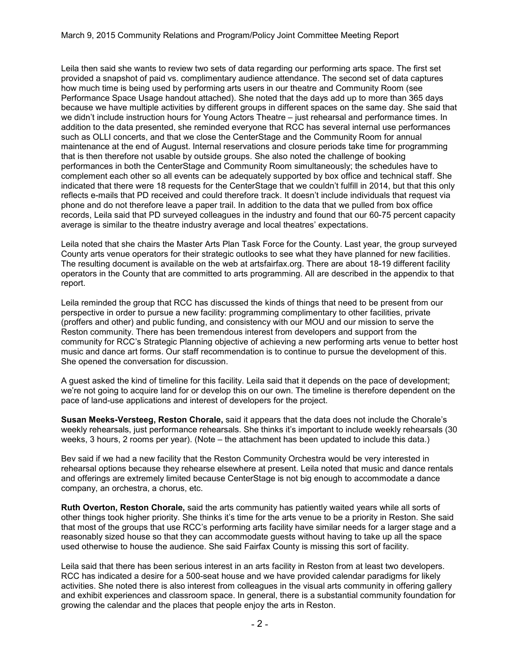Leila then said she wants to review two sets of data regarding our performing arts space. The first set provided a snapshot of paid vs. complimentary audience attendance. The second set of data captures how much time is being used by performing arts users in our theatre and Community Room (see Performance Space Usage handout attached). She noted that the days add up to more than 365 days because we have multiple activities by different groups in different spaces on the same day. She said that we didn't include instruction hours for Young Actors Theatre – just rehearsal and performance times. In addition to the data presented, she reminded everyone that RCC has several internal use performances such as OLLI concerts, and that we close the CenterStage and the Community Room for annual maintenance at the end of August. Internal reservations and closure periods take time for programming that is then therefore not usable by outside groups. She also noted the challenge of booking performances in both the CenterStage and Community Room simultaneously; the schedules have to complement each other so all events can be adequately supported by box office and technical staff. She indicated that there were 18 requests for the CenterStage that we couldn't fulfill in 2014, but that this only reflects e-mails that PD received and could therefore track. It doesn't include individuals that request via phone and do not therefore leave a paper trail. In addition to the data that we pulled from box office records, Leila said that PD surveyed colleagues in the industry and found that our 60-75 percent capacity average is similar to the theatre industry average and local theatres' expectations.

Leila noted that she chairs the Master Arts Plan Task Force for the County. Last year, the group surveyed County arts venue operators for their strategic outlooks to see what they have planned for new facilities. The resulting document is available on the web at artsfairfax.org. There are about 18-19 different facility operators in the County that are committed to arts programming. All are described in the appendix to that report.

Leila reminded the group that RCC has discussed the kinds of things that need to be present from our perspective in order to pursue a new facility: programming complimentary to other facilities, private (proffers and other) and public funding, and consistency with our MOU and our mission to serve the Reston community. There has been tremendous interest from developers and support from the community for RCC's Strategic Planning objective of achieving a new performing arts venue to better host music and dance art forms. Our staff recommendation is to continue to pursue the development of this. She opened the conversation for discussion.

A guest asked the kind of timeline for this facility. Leila said that it depends on the pace of development; we're not going to acquire land for or develop this on our own. The timeline is therefore dependent on the pace of land-use applications and interest of developers for the project.

Susan Meeks-Versteeg, Reston Chorale, said it appears that the data does not include the Chorale's weekly rehearsals, just performance rehearsals. She thinks it's important to include weekly rehearsals (30 weeks, 3 hours, 2 rooms per year). (Note – the attachment has been updated to include this data.)

Bev said if we had a new facility that the Reston Community Orchestra would be very interested in rehearsal options because they rehearse elsewhere at present. Leila noted that music and dance rentals and offerings are extremely limited because CenterStage is not big enough to accommodate a dance company, an orchestra, a chorus, etc.

Ruth Overton, Reston Chorale, said the arts community has patiently waited years while all sorts of other things took higher priority. She thinks it's time for the arts venue to be a priority in Reston. She said that most of the groups that use RCC's performing arts facility have similar needs for a larger stage and a reasonably sized house so that they can accommodate guests without having to take up all the space used otherwise to house the audience. She said Fairfax County is missing this sort of facility.

Leila said that there has been serious interest in an arts facility in Reston from at least two developers. RCC has indicated a desire for a 500-seat house and we have provided calendar paradigms for likely activities. She noted there is also interest from colleagues in the visual arts community in offering gallery and exhibit experiences and classroom space. In general, there is a substantial community foundation for growing the calendar and the places that people enjoy the arts in Reston.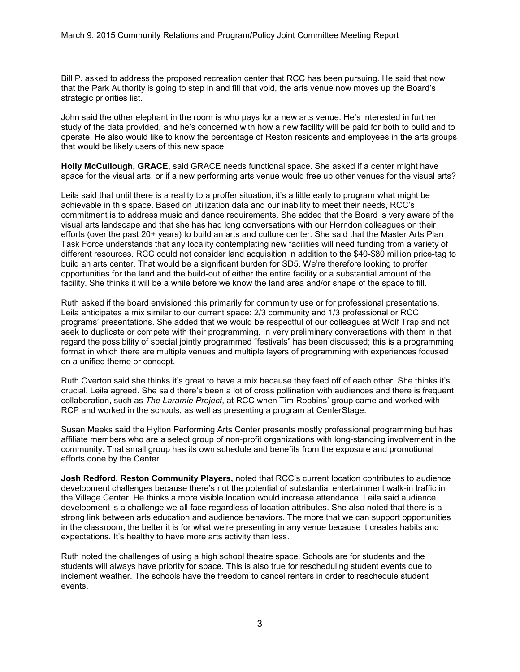Bill P. asked to address the proposed recreation center that RCC has been pursuing. He said that now that the Park Authority is going to step in and fill that void, the arts venue now moves up the Board's strategic priorities list.

John said the other elephant in the room is who pays for a new arts venue. He's interested in further study of the data provided, and he's concerned with how a new facility will be paid for both to build and to operate. He also would like to know the percentage of Reston residents and employees in the arts groups that would be likely users of this new space.

Holly McCullough, GRACE, said GRACE needs functional space. She asked if a center might have space for the visual arts, or if a new performing arts venue would free up other venues for the visual arts?

Leila said that until there is a reality to a proffer situation, it's a little early to program what might be achievable in this space. Based on utilization data and our inability to meet their needs, RCC's commitment is to address music and dance requirements. She added that the Board is very aware of the visual arts landscape and that she has had long conversations with our Herndon colleagues on their efforts (over the past 20+ years) to build an arts and culture center. She said that the Master Arts Plan Task Force understands that any locality contemplating new facilities will need funding from a variety of different resources. RCC could not consider land acquisition in addition to the \$40-\$80 million price-tag to build an arts center. That would be a significant burden for SD5. We're therefore looking to proffer opportunities for the land and the build-out of either the entire facility or a substantial amount of the facility. She thinks it will be a while before we know the land area and/or shape of the space to fill.

Ruth asked if the board envisioned this primarily for community use or for professional presentations. Leila anticipates a mix similar to our current space: 2/3 community and 1/3 professional or RCC programs' presentations. She added that we would be respectful of our colleagues at Wolf Trap and not seek to duplicate or compete with their programming. In very preliminary conversations with them in that regard the possibility of special jointly programmed "festivals" has been discussed; this is a programming format in which there are multiple venues and multiple layers of programming with experiences focused on a unified theme or concept.

Ruth Overton said she thinks it's great to have a mix because they feed off of each other. She thinks it's crucial. Leila agreed. She said there's been a lot of cross pollination with audiences and there is frequent collaboration, such as *The Laramie Project*, at RCC when Tim Robbins' group came and worked with RCP and worked in the schools, as well as presenting a program at CenterStage.

Susan Meeks said the Hylton Performing Arts Center presents mostly professional programming but has affiliate members who are a select group of non-profit organizations with long-standing involvement in the community. That small group has its own schedule and benefits from the exposure and promotional efforts done by the Center.

Josh Redford, Reston Community Players, noted that RCC's current location contributes to audience development challenges because there's not the potential of substantial entertainment walk-in traffic in the Village Center. He thinks a more visible location would increase attendance. Leila said audience development is a challenge we all face regardless of location attributes. She also noted that there is a strong link between arts education and audience behaviors. The more that we can support opportunities in the classroom, the better it is for what we're presenting in any venue because it creates habits and expectations. It's healthy to have more arts activity than less.

Ruth noted the challenges of using a high school theatre space. Schools are for students and the students will always have priority for space. This is also true for rescheduling student events due to inclement weather. The schools have the freedom to cancel renters in order to reschedule student events.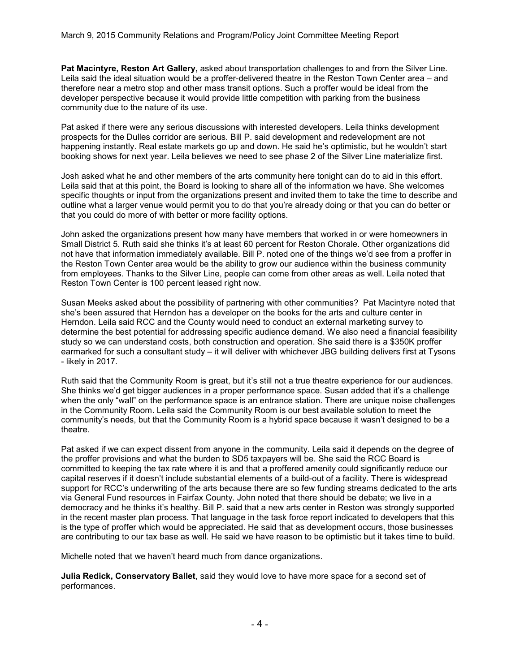Pat Macintyre, Reston Art Gallery, asked about transportation challenges to and from the Silver Line. Leila said the ideal situation would be a proffer-delivered theatre in the Reston Town Center area – and therefore near a metro stop and other mass transit options. Such a proffer would be ideal from the developer perspective because it would provide little competition with parking from the business community due to the nature of its use.

Pat asked if there were any serious discussions with interested developers. Leila thinks development prospects for the Dulles corridor are serious. Bill P. said development and redevelopment are not happening instantly. Real estate markets go up and down. He said he's optimistic, but he wouldn't start booking shows for next year. Leila believes we need to see phase 2 of the Silver Line materialize first.

Josh asked what he and other members of the arts community here tonight can do to aid in this effort. Leila said that at this point, the Board is looking to share all of the information we have. She welcomes specific thoughts or input from the organizations present and invited them to take the time to describe and outline what a larger venue would permit you to do that you're already doing or that you can do better or that you could do more of with better or more facility options.

John asked the organizations present how many have members that worked in or were homeowners in Small District 5. Ruth said she thinks it's at least 60 percent for Reston Chorale. Other organizations did not have that information immediately available. Bill P. noted one of the things we'd see from a proffer in the Reston Town Center area would be the ability to grow our audience within the business community from employees. Thanks to the Silver Line, people can come from other areas as well. Leila noted that Reston Town Center is 100 percent leased right now.

Susan Meeks asked about the possibility of partnering with other communities? Pat Macintyre noted that she's been assured that Herndon has a developer on the books for the arts and culture center in Herndon. Leila said RCC and the County would need to conduct an external marketing survey to determine the best potential for addressing specific audience demand. We also need a financial feasibility study so we can understand costs, both construction and operation. She said there is a \$350K proffer earmarked for such a consultant study – it will deliver with whichever JBG building delivers first at Tysons - likely in 2017.

Ruth said that the Community Room is great, but it's still not a true theatre experience for our audiences. She thinks we'd get bigger audiences in a proper performance space. Susan added that it's a challenge when the only "wall" on the performance space is an entrance station. There are unique noise challenges in the Community Room. Leila said the Community Room is our best available solution to meet the community's needs, but that the Community Room is a hybrid space because it wasn't designed to be a theatre.

Pat asked if we can expect dissent from anyone in the community. Leila said it depends on the degree of the proffer provisions and what the burden to SD5 taxpayers will be. She said the RCC Board is committed to keeping the tax rate where it is and that a proffered amenity could significantly reduce our capital reserves if it doesn't include substantial elements of a build-out of a facility. There is widespread support for RCC's underwriting of the arts because there are so few funding streams dedicated to the arts via General Fund resources in Fairfax County. John noted that there should be debate; we live in a democracy and he thinks it's healthy. Bill P. said that a new arts center in Reston was strongly supported in the recent master plan process. That language in the task force report indicated to developers that this is the type of proffer which would be appreciated. He said that as development occurs, those businesses are contributing to our tax base as well. He said we have reason to be optimistic but it takes time to build.

Michelle noted that we haven't heard much from dance organizations.

Julia Redick, Conservatory Ballet, said they would love to have more space for a second set of performances.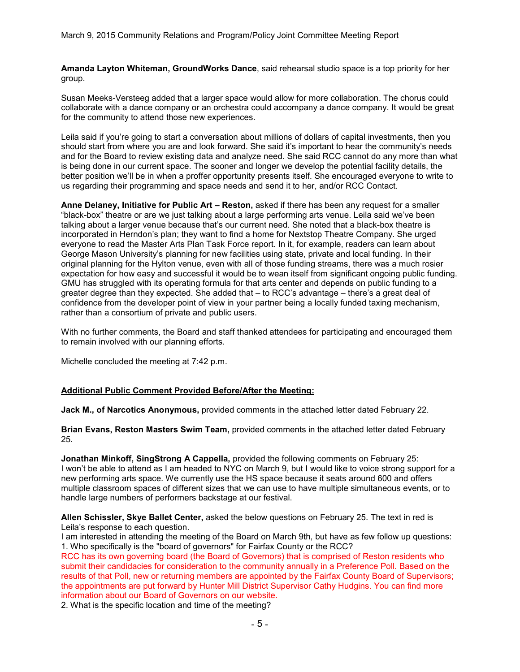Amanda Layton Whiteman, GroundWorks Dance, said rehearsal studio space is a top priority for her group.

Susan Meeks-Versteeg added that a larger space would allow for more collaboration. The chorus could collaborate with a dance company or an orchestra could accompany a dance company. It would be great for the community to attend those new experiences.

Leila said if you're going to start a conversation about millions of dollars of capital investments, then you should start from where you are and look forward. She said it's important to hear the community's needs and for the Board to review existing data and analyze need. She said RCC cannot do any more than what is being done in our current space. The sooner and longer we develop the potential facility details, the better position we'll be in when a proffer opportunity presents itself. She encouraged everyone to write to us regarding their programming and space needs and send it to her, and/or RCC Contact.

Anne Delaney, Initiative for Public Art - Reston, asked if there has been any request for a smaller "black-box" theatre or are we just talking about a large performing arts venue. Leila said we've been talking about a larger venue because that's our current need. She noted that a black-box theatre is incorporated in Herndon's plan; they want to find a home for Nextstop Theatre Company. She urged everyone to read the Master Arts Plan Task Force report. In it, for example, readers can learn about George Mason University's planning for new facilities using state, private and local funding. In their original planning for the Hylton venue, even with all of those funding streams, there was a much rosier expectation for how easy and successful it would be to wean itself from significant ongoing public funding. GMU has struggled with its operating formula for that arts center and depends on public funding to a greater degree than they expected. She added that – to RCC's advantage – there's a great deal of confidence from the developer point of view in your partner being a locally funded taxing mechanism, rather than a consortium of private and public users.

With no further comments, the Board and staff thanked attendees for participating and encouraged them to remain involved with our planning efforts.

Michelle concluded the meeting at 7:42 p.m.

### Additional Public Comment Provided Before/After the Meeting:

Jack M., of Narcotics Anonymous, provided comments in the attached letter dated February 22.

Brian Evans, Reston Masters Swim Team, provided comments in the attached letter dated February 25.

Jonathan Minkoff, SingStrong A Cappella, provided the following comments on February 25: I won't be able to attend as I am headed to NYC on March 9, but I would like to voice strong support for a new performing arts space. We currently use the HS space because it seats around 600 and offers multiple classroom spaces of different sizes that we can use to have multiple simultaneous events, or to handle large numbers of performers backstage at our festival.

Allen Schissler, Skye Ballet Center, asked the below questions on February 25. The text in red is Leila's response to each question.

I am interested in attending the meeting of the Board on March 9th, but have as few follow up questions: 1. Who specifically is the "board of governors" for Fairfax County or the RCC?

RCC has its own governing board (the Board of Governors) that is comprised of Reston residents who submit their candidacies for consideration to the community annually in a Preference Poll. Based on the results of that Poll, new or returning members are appointed by the Fairfax County Board of Supervisors; the appointments are put forward by Hunter Mill District Supervisor Cathy Hudgins. You can find more information about our Board of Governors on our website.

2. What is the specific location and time of the meeting?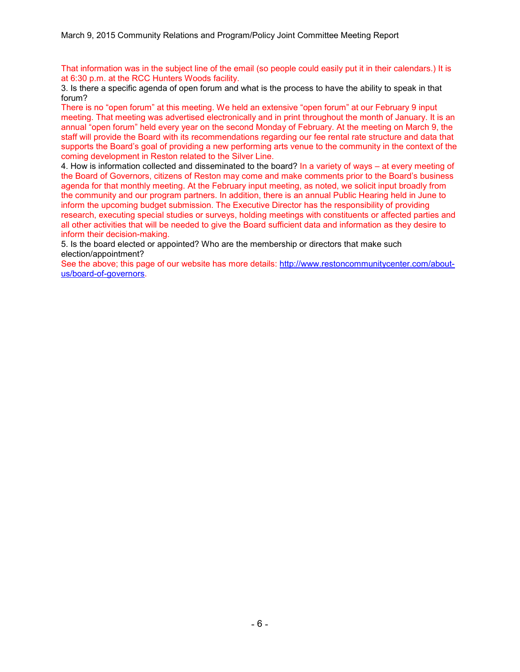That information was in the subject line of the email (so people could easily put it in their calendars.) It is at 6:30 p.m. at the RCC Hunters Woods facility.

3. Is there a specific agenda of open forum and what is the process to have the ability to speak in that forum?

There is no "open forum" at this meeting. We held an extensive "open forum" at our February 9 input meeting. That meeting was advertised electronically and in print throughout the month of January. It is an annual "open forum" held every year on the second Monday of February. At the meeting on March 9, the staff will provide the Board with its recommendations regarding our fee rental rate structure and data that supports the Board's goal of providing a new performing arts venue to the community in the context of the coming development in Reston related to the Silver Line.

4. How is information collected and disseminated to the board? In a variety of ways – at every meeting of the Board of Governors, citizens of Reston may come and make comments prior to the Board's business agenda for that monthly meeting. At the February input meeting, as noted, we solicit input broadly from the community and our program partners. In addition, there is an annual Public Hearing held in June to inform the upcoming budget submission. The Executive Director has the responsibility of providing research, executing special studies or surveys, holding meetings with constituents or affected parties and all other activities that will be needed to give the Board sufficient data and information as they desire to inform their decision-making.

5. Is the board elected or appointed? Who are the membership or directors that make such election/appointment?

See the above; this page of our website has more details: [http://www.restoncommunitycenter.com/about](http://www.restoncommunitycenter.com/about-us/board-of-governors)[us/board-of-governors.](http://www.restoncommunitycenter.com/about-us/board-of-governors)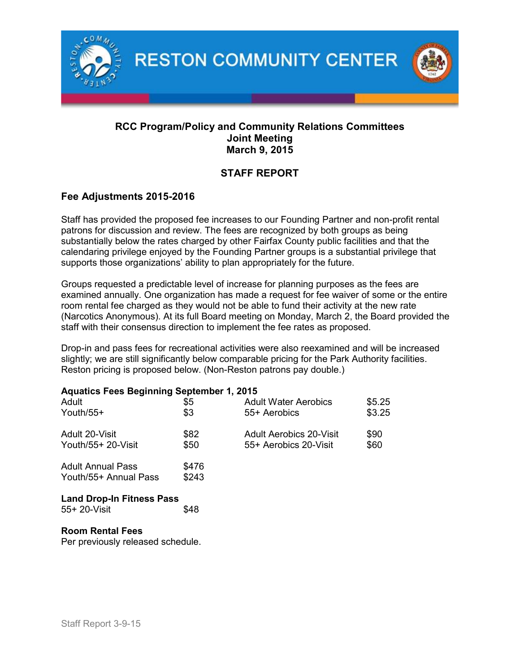

## RCC Program/Policy and Community Relations Committees Joint Meeting March 9, 2015

# STAFF REPORT

## Fee Adjustments 2015-2016

Staff has provided the proposed fee increases to our Founding Partner and non-profit rental patrons for discussion and review. The fees are recognized by both groups as being substantially below the rates charged by other Fairfax County public facilities and that the calendaring privilege enjoyed by the Founding Partner groups is a substantial privilege that supports those organizations' ability to plan appropriately for the future.

Groups requested a predictable level of increase for planning purposes as the fees are examined annually. One organization has made a request for fee waiver of some or the entire room rental fee charged as they would not be able to fund their activity at the new rate (Narcotics Anonymous). At its full Board meeting on Monday, March 2, the Board provided the staff with their consensus direction to implement the fee rates as proposed.

Drop-in and pass fees for recreational activities were also reexamined and will be increased slightly; we are still significantly below comparable pricing for the Park Authority facilities. Reston pricing is proposed below. (Non-Reston patrons pay double.)

## Aquatics Fees Beginning September 1, 2015

| Adult<br>\$5<br>\$3<br>Youth/55+<br>Adult 20-Visit<br>\$82 | <b>Adult Water Aerobics</b><br>55+ Aerobics | \$5.25<br>\$3.25                                        |              |
|------------------------------------------------------------|---------------------------------------------|---------------------------------------------------------|--------------|
| Youth/55+ 20-Visit                                         | \$50                                        | <b>Adult Aerobics 20-Visit</b><br>55+ Aerobics 20-Visit | \$90<br>\$60 |
| <b>Adult Annual Pass</b><br>Youth/55+ Annual Pass          | \$476<br>\$243                              |                                                         |              |

## Land Drop-In Fitness Pass

| 55+ 20-Visit | \$48 |
|--------------|------|
|--------------|------|

## Room Rental Fees

Per previously released schedule.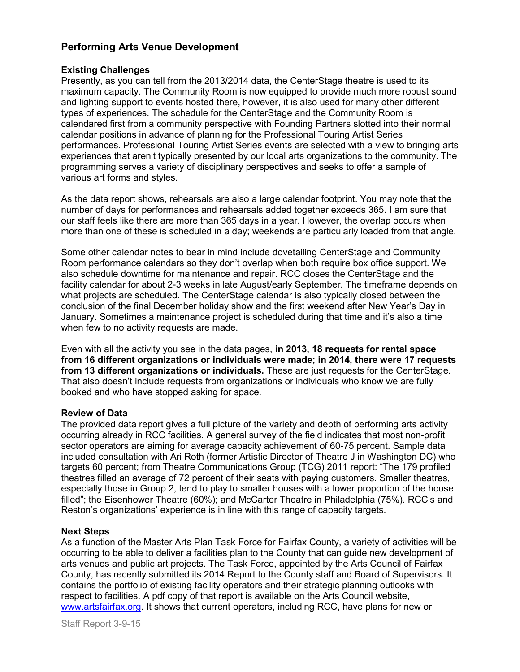## Performing Arts Venue Development

## Existing Challenges

Presently, as you can tell from the 2013/2014 data, the CenterStage theatre is used to its maximum capacity. The Community Room is now equipped to provide much more robust sound and lighting support to events hosted there, however, it is also used for many other different types of experiences. The schedule for the CenterStage and the Community Room is calendared first from a community perspective with Founding Partners slotted into their normal calendar positions in advance of planning for the Professional Touring Artist Series performances. Professional Touring Artist Series events are selected with a view to bringing arts experiences that aren't typically presented by our local arts organizations to the community. The programming serves a variety of disciplinary perspectives and seeks to offer a sample of various art forms and styles.

As the data report shows, rehearsals are also a large calendar footprint. You may note that the number of days for performances and rehearsals added together exceeds 365. I am sure that our staff feels like there are more than 365 days in a year. However, the overlap occurs when more than one of these is scheduled in a day; weekends are particularly loaded from that angle.

Some other calendar notes to bear in mind include dovetailing CenterStage and Community Room performance calendars so they don't overlap when both require box office support. We also schedule downtime for maintenance and repair. RCC closes the CenterStage and the facility calendar for about 2-3 weeks in late August/early September. The timeframe depends on what projects are scheduled. The CenterStage calendar is also typically closed between the conclusion of the final December holiday show and the first weekend after New Year's Day in January. Sometimes a maintenance project is scheduled during that time and it's also a time when few to no activity requests are made.

Even with all the activity you see in the data pages, in 2013, 18 requests for rental space from 16 different organizations or individuals were made; in 2014, there were 17 requests from 13 different organizations or individuals. These are just requests for the CenterStage. That also doesn't include requests from organizations or individuals who know we are fully booked and who have stopped asking for space.

## Review of Data

The provided data report gives a full picture of the variety and depth of performing arts activity occurring already in RCC facilities. A general survey of the field indicates that most non-profit sector operators are aiming for average capacity achievement of 60-75 percent. Sample data included consultation with Ari Roth (former Artistic Director of Theatre J in Washington DC) who targets 60 percent; from Theatre Communications Group (TCG) 2011 report: "The 179 profiled theatres filled an average of 72 percent of their seats with paying customers. Smaller theatres, especially those in Group 2, tend to play to smaller houses with a lower proportion of the house filled"; the Eisenhower Theatre (60%); and McCarter Theatre in Philadelphia (75%). RCC's and Reston's organizations' experience is in line with this range of capacity targets.

## Next Steps

As a function of the Master Arts Plan Task Force for Fairfax County, a variety of activities will be occurring to be able to deliver a facilities plan to the County that can guide new development of arts venues and public art projects. The Task Force, appointed by the Arts Council of Fairfax County, has recently submitted its 2014 Report to the County staff and Board of Supervisors. It contains the portfolio of existing facility operators and their strategic planning outlooks with respect to facilities. A pdf copy of that report is available on the Arts Council website, [www.artsfairfax.org.](http://www.artsfairfax.org/) It shows that current operators, including RCC, have plans for new or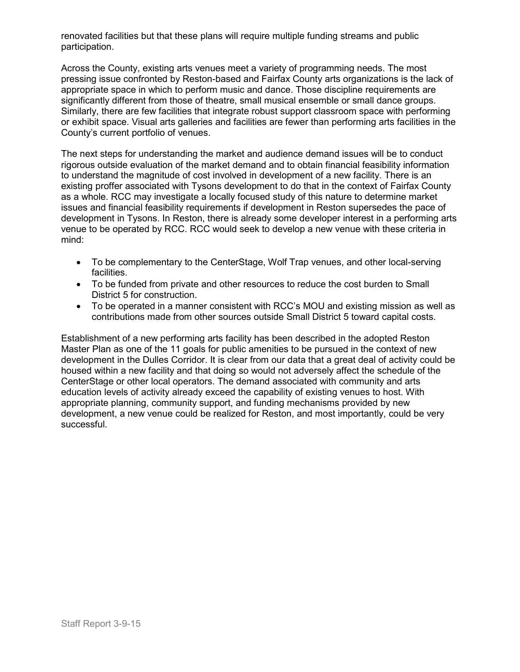renovated facilities but that these plans will require multiple funding streams and public participation.

Across the County, existing arts venues meet a variety of programming needs. The most pressing issue confronted by Reston-based and Fairfax County arts organizations is the lack of appropriate space in which to perform music and dance. Those discipline requirements are significantly different from those of theatre, small musical ensemble or small dance groups. Similarly, there are few facilities that integrate robust support classroom space with performing or exhibit space. Visual arts galleries and facilities are fewer than performing arts facilities in the County's current portfolio of venues.

The next steps for understanding the market and audience demand issues will be to conduct rigorous outside evaluation of the market demand and to obtain financial feasibility information to understand the magnitude of cost involved in development of a new facility. There is an existing proffer associated with Tysons development to do that in the context of Fairfax County as a whole. RCC may investigate a locally focused study of this nature to determine market issues and financial feasibility requirements if development in Reston supersedes the pace of development in Tysons. In Reston, there is already some developer interest in a performing arts venue to be operated by RCC. RCC would seek to develop a new venue with these criteria in mind:

- To be complementary to the CenterStage, Wolf Trap venues, and other local-serving facilities.
- To be funded from private and other resources to reduce the cost burden to Small District 5 for construction.
- To be operated in a manner consistent with RCC's MOU and existing mission as well as contributions made from other sources outside Small District 5 toward capital costs.

Establishment of a new performing arts facility has been described in the adopted Reston Master Plan as one of the 11 goals for public amenities to be pursued in the context of new development in the Dulles Corridor. It is clear from our data that a great deal of activity could be housed within a new facility and that doing so would not adversely affect the schedule of the CenterStage or other local operators. The demand associated with community and arts education levels of activity already exceed the capability of existing venues to host. With appropriate planning, community support, and funding mechanisms provided by new development, a new venue could be realized for Reston, and most importantly, could be very successful.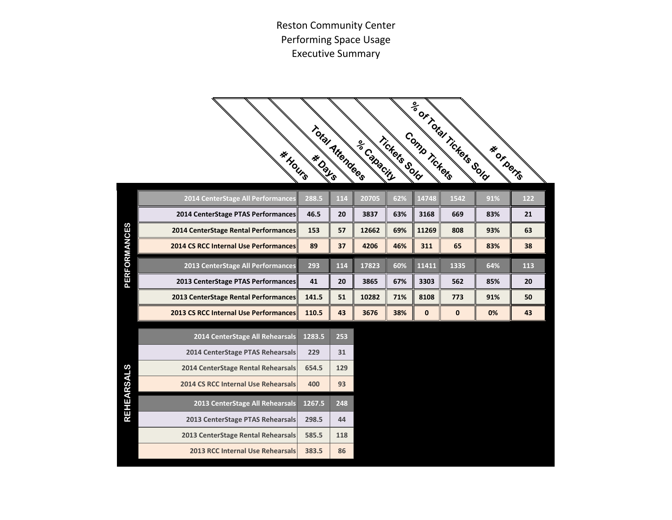Reston Community Center Performing Space Usage Executive Summary

|                     | * Hours                               | Total Attendees |     | se Capacin | Tickets Sold | Comp Tickers | <b>PROFTICARESSOR</b> | <b>IF OF DOTE</b> |     |
|---------------------|---------------------------------------|-----------------|-----|------------|--------------|--------------|-----------------------|-------------------|-----|
|                     | 2014 CenterStage All Performances     | 288.5           | 114 | 20705      | 62%          | 14748        | 1542                  | 91%               | 122 |
|                     | 2014 CenterStage PTAS Performances    | 46.5            | 20  | 3837       | 63%          | 3168         | 669                   | 83%               | 21  |
|                     | 2014 CenterStage Rental Performances  | 153             | 57  | 12662      | 69%          | 11269        | 808                   | 93%               | 63  |
|                     | 2014 CS RCC Internal Use Performances | 89              | 37  | 4206       | 46%          | 311          | 65                    | 83%               | 38  |
| <b>PERFORMANCES</b> | 2013 CenterStage All Performances     | 293             | 114 | 17823      | 60%          | 11411        | 1335                  | 64%               | 113 |
|                     | 2013 CenterStage PTAS Performances    | 41              | 20  | 3865       | 67%          | 3303         | 562                   | 85%               | 20  |
|                     | 2013 CenterStage Rental Performances  | 141.5           | 51  | 10282      | 71%          | 8108         | 773                   | 91%               | 50  |
|                     | 2013 CS RCC Internal Use Performances | 110.5           | 43  | 3676       | 38%          | $\bf{0}$     | $\bf{0}$              | 0%                | 43  |
|                     | 2014 CenterStage All Rehearsals       | 1283.5          | 253 |            |              |              |                       |                   |     |
|                     | 2014 CenterStage PTAS Rehearsals      | 229             | 31  |            |              |              |                       |                   |     |
|                     | 2014 CenterStage Rental Rehearsals    | 654.5           | 129 |            |              |              |                       |                   |     |
|                     | 2014 CS RCC Internal Use Rehearsals   | 400             | 93  |            |              |              |                       |                   |     |
| <b>REHEARSALS</b>   | 2013 CenterStage All Rehearsals       | 1267.5          | 248 |            |              |              |                       |                   |     |
|                     | 2013 CenterStage PTAS Rehearsals      | 298.5           | 44  |            |              |              |                       |                   |     |
|                     | 2013 CenterStage Rental Rehearsals    | 585.5           | 118 |            |              |              |                       |                   |     |
|                     | 2013 RCC Internal Use Rehearsals      | 383.5           | 86  |            |              |              |                       |                   |     |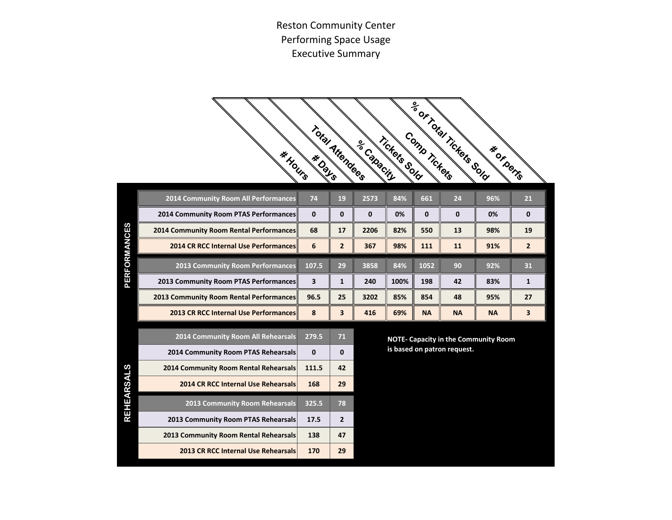Reston Community Center Performing Space Usage Executive Summary

|                   | * Hours                                                                   |                       | Total Attendees         | se Capacin  | Tickets Sold | Comp Tickers | Se or Total Tickets Sold    | * OF DOTE                                   |                |
|-------------------|---------------------------------------------------------------------------|-----------------------|-------------------------|-------------|--------------|--------------|-----------------------------|---------------------------------------------|----------------|
|                   | 2014 Community Room All Performances                                      | 74                    | 19                      | 2573        | 84%          | 661          | 24                          | 96%                                         | 21             |
|                   | 2014 Community Room PTAS Performances                                     | 0                     | $\mathbf 0$             | $\mathbf 0$ | 0%           | $\mathbf{0}$ | $\mathbf{0}$                | 0%                                          | $\mathbf{0}$   |
|                   | 2014 Community Room Rental Performances                                   | 68                    | 17                      | 2206        | 82%          | 550          | 13                          | 98%                                         | 19             |
|                   | 2014 CR RCC Internal Use Performances                                     | 6                     | $\overline{2}$          | 367         | 98%          | 111          | 11                          | 91%                                         | $\overline{2}$ |
| PERFORMANCES      | <b>2013 Community Room Performances</b>                                   | 107.5                 | 29                      | 3858        | 84%          | 1052         | 90                          | 92%                                         | 31             |
|                   | 2013 Community Room PTAS Performances                                     | 3                     | $\mathbf{1}$            | 240         | 100%         | 198          | 42                          | 83%                                         | $\mathbf{1}$   |
|                   | 2013 Community Room Rental Performances                                   | 96.5                  | 25                      | 3202        | 85%          | 854          | 48                          | 95%                                         | 27             |
|                   | 2013 CR RCC Internal Use Performances                                     | 8                     | $\overline{\mathbf{3}}$ | 416         | 69%          | <b>NA</b>    | <b>NA</b>                   | <b>NA</b>                                   | 3              |
|                   | 2014 Community Room All Rehearsals<br>2014 Community Room PTAS Rehearsals | 279.5<br>$\mathbf{0}$ | 71<br>$\mathbf{0}$      |             |              |              | is based on patron request. | <b>NOTE- Capacity in the Community Room</b> |                |
|                   | 2014 Community Room Rental Rehearsals                                     | 111.5                 | 42                      |             |              |              |                             |                                             |                |
| <b>REHEARSALS</b> | 2014 CR RCC Internal Use Rehearsals                                       | 168                   | 29                      |             |              |              |                             |                                             |                |
|                   | 2013 Community Room Rehearsals                                            | 325.5                 | 78                      |             |              |              |                             |                                             |                |
|                   | 2013 Community Room PTAS Rehearsals                                       | 17.5                  | $\overline{2}$          |             |              |              |                             |                                             |                |
|                   | 2013 Community Room Rental Rehearsals                                     | 138                   | 47                      |             |              |              |                             |                                             |                |
|                   | 2013 CR RCC Internal Use Rehearsals                                       | 170                   | 29                      |             |              |              |                             |                                             |                |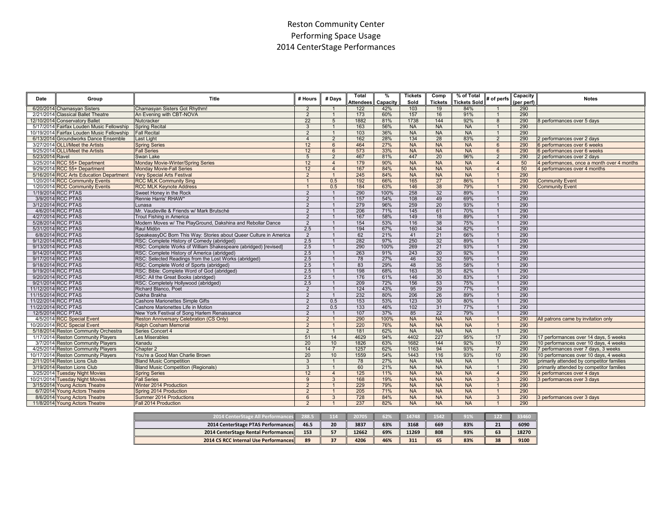## Reston Community Center Performing Space Usage 2014 CenterStage Performances

| Date                | Group                                      | Title                                                             | # Hours        | # Days         | <b>Total</b><br><b>Attendees</b> | %<br>Capacity | <b>Tickets</b><br>Sold | Comp<br><b>Tickets</b> | % of Total<br><b>Tickets Sold</b> | # of perfs      | Capacity<br>(per perf) | <b>Notes</b>                               |
|---------------------|--------------------------------------------|-------------------------------------------------------------------|----------------|----------------|----------------------------------|---------------|------------------------|------------------------|-----------------------------------|-----------------|------------------------|--------------------------------------------|
|                     | 6/20/2014 Chamasyan Sisters                | Chamasyan Sisters Got Rhythm!                                     | $\overline{2}$ | -1             | 122                              | 42%           | 103                    | 19                     | 84%                               | $\overline{1}$  | 290                    |                                            |
|                     | 2/21/2014 Classical Ballet Theatre         | An Evening with CBT-NOVA                                          | $\overline{2}$ | $\overline{1}$ | 173                              | 60%           | 157                    | 16                     | 91%                               | $\mathbf{1}$    | 290                    |                                            |
|                     | 12/10/2014 Conservatory Ballet             | Nutcracker                                                        | 22             | 5              | 1882                             | 81%           | 1738                   | 144                    | 92%                               | 8               | 290                    | 8 performances over 5 days                 |
|                     | 5/17/2014 Fairfax Louden Music Fellowship  | <b>Spring Recital</b>                                             | $\mathbf{3}$   | $\mathbf{1}$   | 163                              | 56%           | <b>NA</b>              | <b>NA</b>              | <b>NA</b>                         |                 | 290                    |                                            |
|                     | 10/19/2014 Fairfax Louden Music Fellowship | <b>Fall Recital</b>                                               | 2              | $\overline{1}$ | 103                              | 36%           | <b>NA</b>              | <b>NA</b>              | <b>NA</b>                         | $\mathbf{1}$    | 290                    |                                            |
|                     | 6/13/2014 Groundworks Dance Ensemble       | Last Light                                                        | $\overline{4}$ | $\overline{2}$ | 162                              | 28%           | 134                    | 28                     | 83%                               | 2               | 290                    | 2 performances over 2 days                 |
|                     | 3/27/2014 OLLI/Meet the Artists            | <b>Spring Series</b>                                              | 12             | 6              | 464                              | 27%           | <b>NA</b>              | <b>NA</b>              | <b>NA</b>                         | 6               | 290                    | 6 performances over 6 weeks                |
|                     | 9/25/2014 OLLI/Meet the Artists            | <b>Fall Series</b>                                                | 12             | 6              | 573                              | 33%           | <b>NA</b>              | <b>NA</b>              | <b>NA</b>                         | $6\overline{6}$ | 290                    | 6 performances over 6 weeks                |
| 5/23/2014 Ravel     |                                            | Swan Lake                                                         | 5              | $\overline{2}$ | 467                              | 81%           | 447                    | 20                     | 96%                               | $\overline{2}$  | 290                    | 2 performances over 2 days                 |
|                     | 3/25/2014 RCC 55+ Department               | Monday Movie-Winter/Spring Series                                 | 12             | $\overline{4}$ | 179                              | 90%           | <b>NA</b>              | <b>NA</b>              | <b>NA</b>                         | $\overline{4}$  | 50                     | 4 performances, once a month over 4 months |
|                     | 9/29/2014 RCC 55+ Department               | <b>Monday Movie-Fall Series</b>                                   | 12             | $\overline{4}$ | 167                              | 84%           | <b>NA</b>              | <b>NA</b>              | <b>NA</b>                         | $\overline{4}$  | 50                     | 4 performances over 4 months               |
|                     | 5/16/2014 RCC Arts Education Department    | <b>Very Special Arts Festival</b>                                 | $\overline{2}$ | $\overline{1}$ | 245                              | 84%           | <b>NA</b>              | <b>NA</b>              | <b>NA</b>                         | $\overline{1}$  | 290                    |                                            |
|                     | 1/20/2014 RCC Community Events             | <b>RCC MLK Community Sing</b>                                     | $\mathbf{1}$   | 0.5            | 192                              | 66%           | 165                    | 27                     | 86%                               | $\mathbf{1}$    | 290                    | <b>Community Event</b>                     |
|                     | 1/20/2014 RCC Community Events             | <b>RCC MLK Keynote Address</b>                                    | $\mathbf{1}$   | 0.5            | 184                              | 63%           | 146                    | 38                     | 79%                               | $\mathbf{1}$    | 290                    | <b>Community Event</b>                     |
|                     | 1/19/2014 RCC PTAS                         | Sweet Honey in the Rock                                           | 2              | $\overline{1}$ | 290                              | 100%          | 258                    | 32                     | 89%                               | $\mathbf{1}$    | 290                    |                                            |
|                     | 3/9/2014 RCC PTAS                          | Rennie Harris' RHAW*                                              | $\overline{2}$ | $\overline{1}$ | 157                              | 54%           | 108                    | 49                     | 69%                               | $\mathbf{1}$    | 290                    |                                            |
|                     | 3/12/2014 RCC PTAS                         | Lunasa                                                            | $\overline{2}$ | $\overline{1}$ | 279                              | 96%           | 259                    | 20                     | 93%                               | $\overline{1}$  | 290                    |                                            |
|                     | 4/6/2014 RCC PTAS                          | Mr. Vaudeville & Friends w/ Mark Brutsché                         | $\overline{2}$ | $\overline{1}$ | 206                              | 71%           | 145                    | 61                     | 70%                               | $\overline{1}$  | 290                    |                                            |
|                     | 4/27/2014 RCC PTAS                         | Trout Fishing in America                                          | $\overline{2}$ | $\overline{1}$ | 167                              | 58%           | 149                    | 18                     | 89%                               | $\mathbf{1}$    | 290                    |                                            |
|                     | 5/28/2014 RCC PTAS                         | Modern Moves w/ The PlayGround, Dakshina and Rebollar Dance       | $\overline{2}$ | $\overline{1}$ | 154                              | 53%           | 116                    | 38                     | 75%                               | $\mathbf{1}$    | 290                    |                                            |
|                     | 5/31/2014 RCC PTAS                         | Raul Midòn                                                        | 2.5            | $\overline{1}$ | 194                              | 67%           | 160                    | 34                     | 82%                               | $\mathbf{1}$    | 290                    |                                            |
|                     | 6/8/2014 RCC PTAS                          | SpeakeasyDC Born This Way: Stories about Queer Culture in America | $\overline{2}$ | $\overline{1}$ | 62                               | 21%           | 41                     | 21                     | 66%                               | $\overline{1}$  | 290                    |                                            |
|                     | 9/12/2014 RCC PTAS                         | RSC: Complete History of Comedy (abridged)                        | 2.5            | $\overline{1}$ | 282                              | 97%           | 250                    | 32                     | 89%                               | $\mathbf{1}$    | 290                    |                                            |
|                     | 9/13/2014 RCC PTAS                         | RSC: Complete Works of William Shakespeare (abridged) [revised]   | 2.5            |                | 290                              | 100%          | 269                    | 21                     | 93%                               | $\overline{1}$  | 290                    |                                            |
|                     | 9/14/2014 RCC PTAS                         | RSC: Complete History of America (abridged)                       | 2.5            | $\overline{1}$ | 263                              | 91%           | 243                    | 20                     | 92%                               | $\mathbf{1}$    | 290                    |                                            |
|                     | 9/17/2014 RCC PTAS                         | RSC: Selected Readings from the Lost Works (abridged)             | 2.5            | $\overline{1}$ | 78                               | 27%           | 46                     | 32                     | 59%                               | $\mathbf{1}$    | 290                    |                                            |
|                     | 9/18/2014 RCC PTAS                         | RSC: Complete World of Sports (abridged)                          | 2.5            | $\overline{1}$ | 83                               | 29%           | 48                     | 35                     | 58%                               | $\mathbf{1}$    | 290                    |                                            |
|                     | 9/19/2014 RCC PTAS                         | RSC: Bible: Complete Word of God (abridged)                       | 2.5            | $\overline{1}$ | 198                              | 68%           | 163                    | 35                     | 82%                               | $\overline{1}$  | 290                    |                                            |
|                     |                                            |                                                                   |                |                | 176                              |               | 146                    |                        |                                   | $\overline{1}$  |                        |                                            |
|                     | 9/20/2014 RCC PTAS                         | RSC: All the Great Books (abridged)                               | 2.5            |                |                                  | 61%           |                        | 30                     | 83%                               |                 | 290                    |                                            |
|                     | 9/21/2014 RCC PTAS                         | RSC: Completely Hollywood (abridged)                              | 2.5            |                | 209                              | 72%           | 156                    | 53                     | 75%                               |                 | 290                    |                                            |
|                     | 11/12/2014 RCC PTAS                        | Richard Blanco, Poet                                              | $\overline{2}$ | $\overline{1}$ | 124                              | 43%           | 95<br>206              | 29                     | 77%                               | $\mathbf{1}$    | 290                    |                                            |
| 11/15/2014 RCC PTAS |                                            | Dakha Brakha                                                      | $\overline{2}$ | $\overline{1}$ | 232                              | 80%           |                        | 26                     | 89%                               | $\overline{1}$  | 290                    |                                            |
| 11/22/2014 RCC PTAS |                                            | <b>Cashore Marionettes Simple Gifts</b>                           | $\overline{2}$ | 0.5            | 153                              | 53%           | 123                    | 30                     | 80%                               | $\mathbf{1}$    | 290                    |                                            |
|                     | 11/22/2014 RCC PTAS                        | Cashore Marionettes Life in Motion                                | $\overline{2}$ | 0.5            | 133                              | 46%           | 102                    | 31                     | 77%                               | $\mathbf{1}$    | 290                    |                                            |
|                     | 12/5/2014 RCC PTAS                         | New York Festival of Song Harlem Renaissance                      | $\overline{2}$ | $\overline{1}$ | 107                              | 37%           | 85                     | 22                     | 79%                               | $\mathbf{1}$    | 290                    |                                            |
|                     | 4/5/2014 RCC Special Event                 | Reston Anniversary Celebration (CS Only)                          | $\overline{2}$ |                | 290                              | 100%          | <b>NA</b>              | <b>NA</b>              | <b>NA</b>                         |                 | 290                    | All patrons came by invitation only        |
|                     | 10/20/2014 RCC Special Event               | Ralph Cosham Memorial                                             | $\overline{2}$ |                | 220                              | 76%           | <b>NA</b>              | <b>NA</b>              | <b>NA</b>                         | $\overline{1}$  | 290                    |                                            |
|                     | 5/18/2014 Reston Community Orchestra       | Series Concert 4                                                  | $\overline{2}$ | $\overline{1}$ | 181                              | 62%           | <b>NA</b>              | <b>NA</b>              | <b>NA</b>                         | $\overline{1}$  | 290                    |                                            |
|                     | 1/17/2014 Reston Community Players         | Les Miserables                                                    | 51             | 14             | 4629                             | 94%           | 4402                   | 227                    | 95%                               | 17              | 290                    | 17 performances over 14 days, 5 weeks      |
|                     | 3/7/2014 Reston Community Players          | Xanadu                                                            | 20             | 10             | 1826                             | 63%           | 1682                   | 144                    | 92%                               | 10              | 290                    | 10 performances over 10 days, 4 weeks      |
|                     | 4/25/2014 Reston Community Players         | Chapter 2                                                         | 14             | $\overline{7}$ | 1257                             | 62%           | 1163                   | 94                     | 93%                               | $\overline{7}$  | 290                    | 7 performances over 7 days, 3 weeks        |
|                     | 10/17/2014 Reston Community Players        | You're a Good Man Charlie Brown                                   | 20             | 10             | 1559                             | 54%           | 1443                   | 116                    | 93%                               | 10              | 290                    | 10 performances over 10 days, 4 weeks      |
|                     | 2/11/2014 Reston Lions Club                | <b>Bland Music Competition</b>                                    | 3              | $\overline{1}$ | 78                               | 27%           | <b>NA</b>              | <b>NA</b>              | <b>NA</b>                         | $\overline{1}$  | 290                    | primarily attended by competitor families  |
|                     | 3/19/2014 Reston Lions Club                | <b>Bland Music Competition (Regionals)</b>                        | 3              | $\overline{1}$ | 60                               | 21%           | <b>NA</b>              | <b>NA</b>              | <b>NA</b>                         | $\overline{1}$  | 290                    | primarily attended by competitor families  |
|                     | 3/25/2014 Tuesday Night Movies             | <b>Spring Series</b>                                              | 12             | $\overline{4}$ | 125                              | 11%           | <b>NA</b>              | <b>NA</b>              | <b>NA</b>                         | $\overline{4}$  | 290                    | 4 performances over 4 days                 |
| 10/21/2014          | <b>Tuesday Night Movies</b>                | <b>Fall Series</b>                                                | 9              | $\mathbf{3}$   | 168                              | 19%           | <b>NA</b>              | <b>NA</b>              | <b>NA</b>                         | $\mathbf{3}$    | 290                    | 3 performances over 3 days                 |
|                     | 3/15/2014 Young Actors Theatre             | Winter 2014 Production                                            | $\overline{2}$ | $\overline{1}$ | 229                              | 79%           | <b>NA</b>              | <b>NA</b>              | <b>NA</b>                         | $\mathbf{1}$    | 290                    |                                            |
|                     | 6/7/2014 Young Actors Theatre              | Spring 2014 Production                                            | 2              | $\overline{1}$ | 205                              | 71%           | <b>NA</b>              | <b>NA</b>              | <b>NA</b>                         | $\mathbf{1}$    | 290                    |                                            |
|                     | 8/6/2014 Young Actors Theatre              | Summer 2014 Productions                                           | 6              | $\overline{3}$ | 728                              | 84%           | <b>NA</b>              | <b>NA</b>              | <b>NA</b>                         | 3               | 290                    | 3 performances over 3 days                 |
|                     | 11/8/2014 Young Actors Theatre             | Fall 2014 Production                                              | $\overline{2}$ |                | 237                              | 82%           | <b>NA</b>              | <b>NA</b>              | <b>NA</b>                         | $\overline{1}$  | 290                    |                                            |

| 2014 CenterStage All Performanci<br>cesII    | 288.5 | 114 | 20705 | 62% | 14748 | 1542 | 91% |    |       |
|----------------------------------------------|-------|-----|-------|-----|-------|------|-----|----|-------|
| 2014 CenterStage PTAS Performances           | 46.5  | 20  | 3837  | 63% | 3168  | 669  | 83% | 21 | 6090  |
| 2014 CenterStage Rental Performances         |       | 57  | 12662 | 69% | 11269 | 808  | 93% | 63 | 18270 |
| <b>2014 CS RCC Internal Use Performances</b> |       | 37  | 4206  | 46% | 311   | 65   | 83% | 38 | 9100  |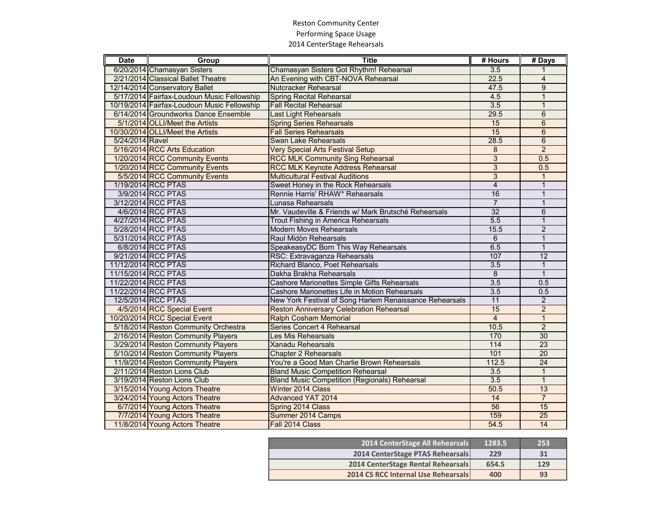## Reston Community Center Performing Space Usage 2014 CenterStage Rehearsals

| <b>Date</b>     | Group                                       | <b>Title</b>                                            | # Hours          | # Days          |
|-----------------|---------------------------------------------|---------------------------------------------------------|------------------|-----------------|
|                 | 6/20/2014 Chamasyan Sisters                 | Chamasyan Sisters Got Rhythm! Rehearsal                 | 3.5              |                 |
|                 | 2/21/2014 Classical Ballet Theatre          | An Evening with CBT-NOVA Rehearsal                      | 22.5             | $\overline{4}$  |
|                 | 12/14/2014 Conservatory Ballet              | Nutcracker Rehearsal                                    | 47.5             | $\overline{9}$  |
|                 | 5/17/2014 Fairfax-Loudoun Music Fellowship  | <b>Spring Recital Rehearsal</b>                         | 4.5              | 1               |
|                 | 10/19/2014 Fairfax-Loudoun Music Fellowship | <b>Fall Recital Rehearsal</b>                           | 3.5              |                 |
|                 | 6/14/2014 Groundworks Dance Ensemble        | <b>Last Light Rehearsals</b>                            | 29.5             | 6               |
|                 | 5/1/2014 OLLI/Meet the Artists              | <b>Spring Series Rehearsals</b>                         | 15               | $\overline{6}$  |
|                 | 10/30/2014 OLLI/Meet the Artists            | <b>Fall Series Rehearsals</b>                           | 15               | $6\phantom{1}$  |
| 5/24/2014 Ravel |                                             | Swan Lake Rehearsals                                    | 28.5             | $\,6$           |
|                 | 5/16/2014 RCC Arts Education                | <b>Very Special Arts Festival Setup</b>                 | $\overline{8}$   | $\overline{2}$  |
|                 | 1/20/2014 RCC Community Events              | <b>RCC MLK Community Sing Rehearsal</b>                 | $\overline{3}$   | 0.5             |
|                 | 1/20/2014 RCC Community Events              | <b>RCC MLK Keynote Address Rehearsal</b>                | $\overline{3}$   | 0.5             |
|                 | 5/5/2014 RCC Community Events               | <b>Multicultural Festival Auditions</b>                 | $\overline{3}$   | 1               |
|                 | 1/19/2014 RCC PTAS                          | Sweet Honey in the Rock Rehearsals                      | $\overline{4}$   | 1               |
|                 | 3/9/2014 RCC PTAS                           | Rennie Harris' RHAW* Rehearsals                         | 16               | $\mathbf{1}$    |
|                 | 3/12/2014 RCC PTAS                          | Lunasa Rehearsals                                       | $\overline{7}$   | $\mathbf{1}$    |
|                 | 4/6/2014 RCC PTAS                           | Mr. Vaudeville & Friends w/ Mark Brutsché Rehearsals    | 32               | 6               |
|                 | 4/27/2014 RCC PTAS                          | Trout Fishing in America Rehearsals                     | 5.5              | $\mathbf{1}$    |
|                 | 5/28/2014 RCC PTAS                          | <b>Modern Moves Rehearsals</b>                          | 15.5             | $\overline{2}$  |
|                 | 5/31/2014 RCC PTAS                          | Raul Midòn Rehearsals                                   | 6                | $\mathbf{1}$    |
|                 | 6/8/2014 RCC PTAS                           | SpeakeasyDC Born This Way Rehearsals                    | 6.5              | $\mathbf{1}$    |
|                 | 9/21/2014 RCC PTAS                          | RSC: Extravaganza Rehearsals                            | 107              | 12              |
|                 | 11/12/2014 RCC PTAS                         | Richard Blanco, Poet Rehearsals                         | 3.5              | $\mathbf{1}$    |
|                 | 11/15/2014 RCC PTAS                         | Dakha Brakha Rehearsals                                 | 8                | $\mathbf{1}$    |
|                 | 11/22/2014 RCC PTAS                         | Cashore Marionettes Simple Gifts Rehearsals             | 3.5              | 0.5             |
|                 | 11/22/2014 RCC PTAS                         | Cashore Marionettes Life in Motion Rehearsals           | 3.5              | 0.5             |
|                 | 12/5/2014 RCC PTAS                          | New York Festival of Song Harlem Renaissance Rehearsals | 11               | $\overline{2}$  |
|                 | 4/5/2014 RCC Special Event                  | <b>Reston Anniversary Celebration Rehearsal</b>         | 15               | $\overline{2}$  |
|                 | 10/20/2014 RCC Special Event                | <b>Ralph Cosham Memorial</b>                            | $\overline{4}$   | $\mathbf 1$     |
|                 | 5/18/2014 Reston Community Orchestra        | Series Concert 4 Rehearsal                              | 10.5             | $\overline{2}$  |
|                 | 2/16/2014 Reston Community Players          | Les Mis Rehearsals                                      | 170              | 30              |
|                 | 3/29/2014 Reston Community Players          | <b>Xanadu Rehearsals</b>                                | 114              | $\overline{23}$ |
|                 | 5/10/2014 Reston Community Players          | <b>Chapter 2 Rehearsals</b>                             | 101              | $\overline{20}$ |
|                 | 11/9/2014 Reston Community Players          | You're a Good Man Charlie Brown Rehearsals              | 112.5            | $\overline{24}$ |
|                 | 2/11/2014 Reston Lions Club                 | <b>Bland Music Competition Rehearsal</b>                | $\overline{3.5}$ |                 |
|                 | 3/19/2014 Reston Lions Club                 | <b>Bland Music Competition (Regionals) Rehearsal</b>    | 3.5              | $\mathbf{1}$    |
|                 | 3/15/2014 Young Actors Theatre              | Winter 2014 Class                                       | 50.5             | 13              |
|                 | 3/24/2014 Young Actors Theatre              | <b>Advanced YAT 2014</b>                                | 14               | $\overline{7}$  |
|                 | 6/7/2014 Young Actors Theatre               | Spring 2014 Class                                       | 56               | 15              |
|                 | 7/7/2014 Young Actors Theatre               | Summer 2014 Camps                                       | 159              | $\overline{25}$ |
|                 | 11/8/2014 Young Actors Theatre              | Fall 2014 Class                                         | 54.5             | 14              |

I

| 2014 CenterStage All Rehearsals            | 1283.5 | 253 |
|--------------------------------------------|--------|-----|
| 2014 CenterStage PTAS Rehearsals           | 229    | 31  |
| 2014 CenterStage Rental Rehearsals         | 654.5  | 129 |
| <b>2014 CS RCC Internal Use Rehearsals</b> | 400    | 93  |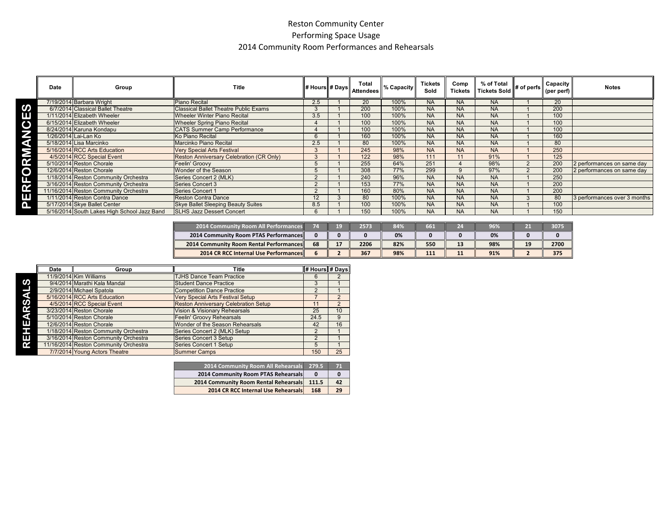## Reston Community Center Performing Space Usage 2014 Community Room Performances and Rehearsals

|             | Date | Group                                       | <b>Title</b>                                 | # Hours # Days | Total<br><b>Attendees</b> | % Capacity | <b>Tickets</b><br>Sold | Comp<br><b>Tickets</b> | % of Total<br>Tickets Sold | . ∥# of perfs l | Capacity<br>(per perf) | <b>Notes</b>                 |
|-------------|------|---------------------------------------------|----------------------------------------------|----------------|---------------------------|------------|------------------------|------------------------|----------------------------|-----------------|------------------------|------------------------------|
|             |      | 7/19/2014 Barbara Wright                    | Piano Recital                                | 2.5            | 20                        | 100%       | <b>NA</b>              | <b>NA</b>              | <b>NA</b>                  |                 | 20                     |                              |
| ဟ           |      | 6/7/2014 Classical Ballet Theatre           | <b>Classical Ballet Theatre Public Exams</b> |                | 200                       | 100%       | <b>NA</b>              | <b>NA</b>              | <b>NA</b>                  |                 | 200                    |                              |
| Е           |      | 1/11/2014 Elizabeth Wheeler                 | <b>Wheeler Winter Piano Recital</b>          | 3.5            | 100                       | 100%       | <b>NA</b>              | <b>NA</b>              | <b>NA</b>                  |                 | 100                    |                              |
| $\mathbf C$ |      | 6/15/2014 Elizabeth Wheeler                 | <b>Wheeler Spring Piano Recital</b>          |                | 100                       | 100%       | <b>NA</b>              | <b>NA</b>              | <b>NA</b>                  |                 | 100                    |                              |
|             |      | 8/24/2014 Karuna Kondapu                    | <b>CATS Summer Camp Performance</b>          |                | 100                       | 100%       | <b>NA</b>              | <b>NA</b>              | <b>NA</b>                  |                 | 100                    |                              |
| 2           |      | 1/26/2014 Lai-Lan Ko                        | Ko Piano Recital                             |                | 160                       | 100%       | <b>NA</b>              | <b>NA</b>              | <b>NA</b>                  |                 | 160                    |                              |
| я           |      | 5/18/2014 Lisa Marcinko                     | Marcinko Piano Recital                       | 2.5            | 80                        | 100%       | <b>NA</b>              | <b>NA</b>              | <b>NA</b>                  |                 | 80                     |                              |
|             |      | 5/16/2014 RCC Arts Education                | <b>Very Special Arts Festival</b>            |                | 245                       | 98%        | <b>NA</b>              | <b>NA</b>              | <b>NA</b>                  |                 | 250                    |                              |
|             |      | 4/5/2014 RCC Special Event                  | Reston Anniversary Celebration (CR Only)     |                | 122                       | 98%        | 111                    | 11                     | 91%                        |                 | 125                    |                              |
|             |      | 5/10/2014 Reston Chorale                    | Feelin' Groovy                               |                | 255                       | 64%        | 251                    |                        | 98%                        |                 | 200                    | 2 performances on same day   |
| O           |      | 12/6/2014 Reston Chorale                    | Wonder of the Season                         |                | 308                       | 77%        | 299                    |                        | 97%                        |                 | 200                    | 2 performances on same day   |
|             |      | 1/18/2014 Reston Community Orchestra        | Series Concert 2 (MLK)                       |                | 240                       | 96%        | <b>NA</b>              | <b>NA</b>              | <b>NA</b>                  |                 | 250                    |                              |
|             |      | 3/16/2014 Reston Community Orchestra        | <b>Series Concert 3</b>                      |                | 153                       | 77%        | <b>NA</b>              | <b>NA</b>              | <b>NA</b>                  |                 | 200                    |                              |
|             |      | 11/16/2014 Reston Community Orchestra       | Series Concert 1                             |                | 160                       | 80%        | <b>NA</b>              | <b>NA</b>              | <b>NA</b>                  |                 | 200                    |                              |
|             |      | 1/11/2014 Reston Contra Dance               | <b>Reston Contra Dance</b>                   | 12             | 80                        | 100%       | <b>NA</b>              | <b>NA</b>              | <b>NA</b>                  |                 | 80                     | 3 performances over 3 months |
| n           |      | 5/17/2014 Skye Ballet Center                | Skye Ballet Sleeping Beauty Suites           | 8.5            | 100                       | 100%       | <b>NA</b>              | <b>NA</b>              | <b>NA</b>                  |                 | 100                    |                              |
|             |      | 5/16/2014 South Lakes High School Jazz Band | <b>SLHS Jazz Dessert Concert</b>             |                | 150                       | 100%       | <b>NA</b>              | <b>NA</b>              | <b>NA</b>                  |                 | 150                    |                              |

| <b>2014 Community Room All Performances</b>    |    | īΩ | 2573 | 84% | 661 | 24 | 96% |    | 3075 |
|------------------------------------------------|----|----|------|-----|-----|----|-----|----|------|
| <b>2014 Community Room PTAS Performances</b>   |    |    |      | 0%  |     |    | 0%  |    |      |
| <b>2014 Community Room Rental Performances</b> | 68 |    | 2206 | 82% | 550 | 13 | 98% | 19 | 2700 |
| <b>2014 CR RCC Internal Use Performances</b>   |    |    | 367  | 98% | 111 | 11 | 91% |    | 375  |

|    | Date | Group                                 | Title                                       | # Hours # Days |                |
|----|------|---------------------------------------|---------------------------------------------|----------------|----------------|
|    |      | 11/9/2014 Kim Williams                | <b>TJHS Dance Team Practice</b>             | 6              |                |
| ഗ  |      | 9/4/2014 Marathi Kala Mandal          | <b>Student Dance Practice</b>               | 3              |                |
|    |      | 2/9/2014 Michael Spatola              | <b>Competition Dance Practice</b>           | $\mathfrak{p}$ |                |
| я  |      | 5/16/2014 RCC Arts Education          | Very Special Arts Festival Setup            |                |                |
| ၯ  |      | 4/5/2014 RCC Special Event            | <b>Reston Anniversary Celebration Setup</b> | 11             | $\mathfrak{p}$ |
| ≃  |      | 3/23/2014 Reston Chorale              | Vision & Visionary Rehearsals               | 25             | 10             |
| Gr |      | 5/10/2014 Reston Chorale              | Feelin' Groovy Rehearsals                   | 24.5           | 9              |
| ш  |      | 12/6/2014 Reston Chorale              | Wonder of the Season Rehearsals             | 42             | 16             |
| Ŧ. |      | 1/18/2014 Reston Community Orchestra  | Series Concert 2 (MLK) Setup                | 2              |                |
| ш  |      | 3/16/2014 Reston Community Orchestra  | Series Concert 3 Setup                      |                |                |
| œ  |      | 11/16/2014 Reston Community Orchestra | Series Concert 1 Setup                      | 5              |                |
|    |      | 7/7/2014 Young Actors Theatre         | <b>Summer Camps</b>                         | 150            | 25             |

| 2014 Community Room All Rehearsals 279.5 |       | VI. |
|------------------------------------------|-------|-----|
| 2014 Community Room PTAS Rehearsals      |       |     |
| 2014 Community Room Rental Rehearsals    | 111.5 | 42  |
| 2014 CR RCC Internal Use Rehearsals      | 168   | 29  |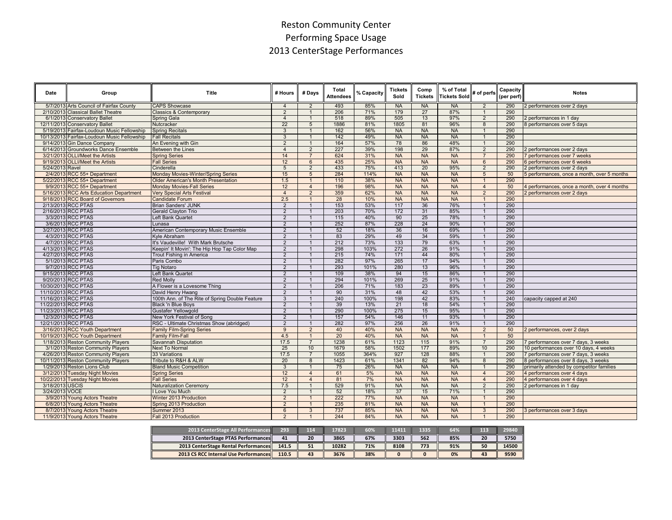# Reston Community Center Performing Space Usage 2013 CenterStage Performances

|                 |                                             |                                                 |                 |                 | Total            |            | <b>Tickets</b> | Comp           | % of Total          |                 | Capacity   |                                             |
|-----------------|---------------------------------------------|-------------------------------------------------|-----------------|-----------------|------------------|------------|----------------|----------------|---------------------|-----------------|------------|---------------------------------------------|
| Date            | Group                                       | Title                                           | # Hours         | # Days          | <b>Attendees</b> | % Capacity | Sold           | <b>Tickets</b> | <b>Tickets Sold</b> | # of perfs      | (per perf) | <b>Notes</b>                                |
|                 | 5/7/2013 Arts Council of Fairfax County     | <b>CAPS Showcase</b>                            | $\overline{4}$  | $\overline{2}$  | 493              | 85%        | <b>NA</b>      | <b>NA</b>      | <b>NA</b>           | $\overline{2}$  | 290        | 2 performances over 2 days                  |
|                 | 2/10/2013 Classical Ballet Theatre          | <b>Classics &amp; Contemporary</b>              | $\overline{2}$  | $\overline{1}$  | 206              | 71%        | 179            | 27             | 87%                 | $\mathbf{1}$    | 290        |                                             |
|                 | 6/1/2013 Conservatory Ballet                | Spring Gala                                     | $\overline{4}$  | $\overline{1}$  | 518              | 89%        | 505            | 13             | 97%                 | $\overline{2}$  | 290        | 2 performances in 1 day                     |
|                 | 12/11/2013 Conservatory Ballet              | Nutcracker                                      | 22              | 5               | 1886             | 81%        | 1805           | 81             | 96%                 | 8               | 290        | 8 performances over 5 days                  |
|                 | 5/19/2013 Fairfax-Loudoun Music Fellowship  | <b>Spring Recitals</b>                          | 3               | $\overline{1}$  | 162              | 56%        | <b>NA</b>      | <b>NA</b>      | <b>NA</b>           | $\mathbf{1}$    | 290        |                                             |
|                 | 10/13/2013 Fairfax-Loudoun Music Fellowship | <b>Fall Recitals</b>                            | $\overline{3}$  | $\overline{1}$  | 142              | 49%        | <b>NA</b>      | <b>NA</b>      | <b>NA</b>           | $\overline{1}$  | 290        |                                             |
|                 | 9/14/2013 Gin Dance Company                 | An Evening with Gin                             | $\overline{2}$  | $\overline{1}$  | 164              | 57%        | 78             | 86             | 48%                 | $\mathbf{1}$    | 290        |                                             |
|                 | 6/14/2013 Groundworks Dance Ensemble        | Between the Lines                               | $\overline{4}$  | $\overline{2}$  | 227              | 39%        | 198            | 29             | 87%                 | $\overline{2}$  | 290        | 2 performances over 2 days                  |
|                 | 3/21/2013 OLLI/Meet the Artists             | <b>Spring Series</b>                            | 14              | $\overline{7}$  | 624              | 31%        | <b>NA</b>      | <b>NA</b>      | <b>NA</b>           |                 | 290        | 7 performances over 7 weeks                 |
|                 | 9/19/2013 OLLI/Meet the Artists             | <b>Fall Series</b>                              | 12              | $6\overline{6}$ | 435              | 25%        | <b>NA</b>      | <b>NA</b>      | <b>NA</b>           | $6\overline{6}$ | 290        | 6 performances over 6 weeks                 |
| 5/24/2013 Ravel |                                             | Cinderella                                      | $5\overline{)}$ | $\overline{2}$  | 433              | 75%        | 413            | 20             | 95%                 | $\overline{2}$  | 290        | 2 performances over 2 days                  |
|                 | 2/4/2013 RCC 55+ Department                 | Monday Movies-Winter/Spring Series              | 15              | $\overline{5}$  | 284              | 114%       | <b>NA</b>      | <b>NA</b>      | <b>NA</b>           | 5               | 50         | 5 performances, once a month, over 5 months |
|                 | 5/22/2013 RCC 55+ Department                | <b>Older American's Month Presentation</b>      | 1.5             | $\overline{1}$  | 110              | 38%        | <b>NA</b>      | <b>NA</b>      | <b>NA</b>           | $\mathbf{1}$    | 290        |                                             |
|                 | 9/9/2013 RCC 55+ Department                 | <b>Monday Movies-Fall Series</b>                | 12              | $\overline{4}$  | 196              | 98%        | <b>NA</b>      | <b>NA</b>      | <b>NA</b>           | $\overline{4}$  | 50         | 4 performances, once a month, over 4 months |
|                 | 5/16/2013 RCC Arts Education Department     | <b>Very Special Arts Festival</b>               | $\overline{4}$  | $\overline{2}$  | 359              | 62%        | <b>NA</b>      | <b>NA</b>      | <b>NA</b>           | $\overline{2}$  | 290        | 2 performances over 2 days                  |
|                 | 9/18/2013 RCC Board of Governors            | <b>Candidate Forum</b>                          | 2.5             | $\overline{1}$  | 28               | 10%        | <b>NA</b>      | <b>NA</b>      | <b>NA</b>           |                 | 290        |                                             |
|                 | 2/13/2013 RCC PTAS                          | <b>Brian Sanders' JUNK</b>                      | 2               | $\overline{1}$  | 153              | 53%        | 117            | 36             | 76%                 | $\overline{1}$  | 290        |                                             |
|                 | 2/16/2013 RCC PTAS                          | Gerald Clayton Trio                             | $\overline{2}$  | $\overline{1}$  | 203              | 70%        | 172            | 31             | 85%                 | $\mathbf{1}$    | 290        |                                             |
|                 | 3/3/2013 RCC PTAS                           | Left Bank Quartet                               | $\overline{2}$  | $\overline{1}$  | 115              | 40%        | 90             | 25             | 78%                 | $\mathbf{1}$    | 290        |                                             |
|                 | 3/6/2013 RCC PTAS                           | Lunasa                                          | 2               | $\overline{1}$  | 252              | 87%        | 228            | 24             | 90%                 | $\mathbf{1}$    | 290        |                                             |
|                 | 3/27/2013 RCC PTAS                          | American Contemporary Music Ensemble            | $\overline{2}$  | $\overline{1}$  | 52               | 18%        | 36             | 16             | 69%                 | $\mathbf{1}$    | 290        |                                             |
|                 | 4/3/2013 RCC PTAS                           | Kyle Abraham                                    | $\overline{2}$  | $\overline{1}$  | 83               | 29%        | 49             | 34             | 59%                 | $\overline{1}$  | 290        |                                             |
|                 | 4/7/2013 RCC PTAS                           | It's Vaudeville! With Mark Brutsche             | $\overline{2}$  | $\overline{1}$  | 212              | 73%        | 133            | 79             | 63%                 | $\overline{1}$  | 290        |                                             |
|                 | 4/13/2013 RCC PTAS                          | Keepin' It Movin': The Hip Hop Tap Color Map    | $\overline{2}$  | $\overline{1}$  | 298              | 103%       | 272            | 26             | 91%                 | $\mathbf{1}$    | 290        |                                             |
|                 | 4/27/2013 RCC PTAS                          | Trout Fishing in America                        | $\overline{2}$  | $\overline{1}$  | 215              | 74%        | 171            | 44             | 80%                 | $\overline{1}$  | 290        |                                             |
|                 | 5/1/2013 RCC PTAS                           | Paris Combo                                     | 2               | $\overline{1}$  | 282              | 97%        | 265            | 17             | 94%                 |                 | 290        |                                             |
|                 | 9/7/2013 RCC PTAS                           | <b>Tig Notaro</b>                               | $\overline{2}$  | $\overline{1}$  | 293              | 101%       | 280            | 13             | 96%                 |                 | 290        |                                             |
|                 | 9/15/2013 RCC PTAS                          | Left Bank Quartet                               | $\overline{2}$  | $\overline{1}$  | 109              | 38%        | 94             | 15             | 86%                 | $\overline{1}$  | 290        |                                             |
|                 | 9/20/2013 RCC PTAS                          | <b>Red Molly</b>                                | $\overline{2}$  | $\overline{1}$  | 294              | 101%       | 269            | 25             | 91%                 |                 | 290        |                                             |
|                 | 10/30/2013 RCC PTAS                         | A Flower is a Lovesome Thing                    | 2               | $\overline{1}$  | 206              | 71%        | 183            | 23             | 89%                 | $\overline{1}$  | 290        |                                             |
|                 | 11/10/2013 RCC PTAS                         | David Henry Hwang                               | $\overline{2}$  | $\overline{1}$  | 90               | 31%        | 48             | 42             | 53%                 | $\overline{1}$  | 290        |                                             |
|                 | 11/16/2013 RCC PTAS                         | 100th Ann. of The Rite of Spring Double Feature | 3               | $\overline{1}$  | 240              | 100%       | 198            | 42             | 83%                 | $\overline{1}$  | 240        | capacity capped at 240                      |
|                 | 11/22/2013 RCC PTAS                         | <b>Black 'n Blue Boys</b>                       | $\overline{2}$  | $\overline{1}$  | 39               | 13%        | 21             | 18             | 54%                 | $\mathbf{1}$    | 290        |                                             |
|                 | 11/23/2013 RCC PTAS                         | Gustafer Yellowgold                             | $\overline{2}$  | $\overline{1}$  | 290              | 100%       | 275            | 15             | 95%                 |                 | 290        |                                             |
|                 | 12/3/2013 RCC PTAS                          | New York Festival of Song                       | $\overline{2}$  | $\overline{1}$  | 157              | 54%        | 146            | 11             | 93%                 | $\mathbf{1}$    | 290        |                                             |
|                 | 12/21/2013 RCC PTAS                         | RSC - Ultimate Christmas Show (abridged)        | $\overline{2}$  | $\overline{1}$  | 282              | 97%        | 256            | 26             | 91%                 |                 | 290        |                                             |
|                 | 3/16/2013 RCC Youth Department              | <b>Family Film-Spring Series</b>                | 9               | $\overline{2}$  | 40               | 40%        | <b>NA</b>      | <b>NA</b>      | <b>NA</b>           | $\overline{2}$  | 50         | 2 performances, over 2 days                 |
|                 | 10/19/2013 RCC Youth Department             | <b>Family Film-Fall</b>                         | 4.5             | $\overline{1}$  | 20               | 40%        | <b>NA</b>      | <b>NA</b>      | <b>NA</b>           | $\mathbf{1}$    | 50         |                                             |
|                 | 1/18/2013 Reston Community Players          | Savannah Disputation                            | 17.5            | $\overline{7}$  | 1238             | 61%        | 1123           | 115            | 91%                 | $\overline{7}$  | 290        | 7 performances over 7 days, 3 weeks         |
|                 | 3/1/2013 Reston Community Players           | <b>Next To Normal</b>                           | 25              | 10              | 1679             | 58%        | 1502           | 177            | 89%                 | 10              | 290        | 10 performances over 10 days, 4 weeks       |
|                 | 4/26/2013 Reston Community Players          | 33 Variations                                   | 17.5            | $\overline{7}$  | 1055             | 364%       | 927            | 128            | 88%                 | $\overline{1}$  | 290        | 7 performances over 7 days, 3 weeks         |
|                 | 10/11/2013 Reston Community Players         | Tribute to R&H & ALW                            | 20              | $\overline{8}$  | 1423             | 61%        | 1341           | 82             | 94%                 | 8               | 290        | 8 performances over 8 days, 3 weeks         |
|                 | 1/29/2013 Reston Lions Club                 | <b>Bland Music Competition</b>                  | 3               | $\overline{1}$  | 75               | 26%        | <b>NA</b>      | <b>NA</b>      | <b>NA</b>           | $\overline{1}$  | 290        | primarily attended by competitor families   |
|                 | 3/12/2013 Tuesday Night Movies              | <b>Spring Series</b>                            | 12              | $\overline{4}$  | 61               | 5%         | <b>NA</b>      | <b>NA</b>      | <b>NA</b>           | $\overline{4}$  | 290        | 4 performances over 4 days                  |
|                 | 10/22/2013 Tuesday Night Movies             | <b>Fall Series</b>                              | 12              | $\overline{4}$  | 81               | 7%         | <b>NA</b>      | <b>NA</b>      | <b>NA</b>           | $\overline{4}$  | 290        | 4 performances over 4 days                  |
| 3/18/2013 USCIS |                                             | Naturalization Ceremony                         | 7.5             | $\overline{1}$  | 529              | 91%        | <b>NA</b>      | <b>NA</b>      | <b>NA</b>           | $\overline{2}$  | 290        | 2 performances in 1 day                     |
| 3/24/2013 VOCE  |                                             | I Love You Much                                 | $\overline{2}$  | $\overline{1}$  | 52               | 18%        | 37             | 15             | 71%                 |                 | 290        |                                             |
|                 | 3/9/2013 Young Actors Theatre               | Winter 2013 Production                          | $\overline{2}$  | $\overline{1}$  | 222              | 77%        | <b>NA</b>      | <b>NA</b>      | <b>NA</b>           | $\mathbf{1}$    | 290        |                                             |
|                 | 6/8/2013 Young Actors Theatre               | Spring 2013 Production                          | $\overline{2}$  | $\overline{1}$  | 235              | 81%        | <b>NA</b>      | <b>NA</b>      | <b>NA</b>           | $\overline{1}$  | 290        |                                             |
|                 | 8/7/2013 Young Actors Theatre               | Summer 2013                                     | $6\overline{6}$ | $\overline{3}$  | 737              | 85%        | <b>NA</b>      | <b>NA</b>      | <b>NA</b>           | 3               | 290        | 3 performances over 3 days                  |
|                 | 11/9/2013 Young Actors Theatre              | Fall 2013 Production                            | $\overline{2}$  |                 | 244              | 84%        | <b>NA</b>      | <b>NA</b>      | <b>NA</b>           | $\mathbf{1}$    | 290        |                                             |

| 2013 CenterStage All Performances            | 293   | 114 | 17823 | 60% | 11411 | 1335 | 64% | 113 | 29840 |
|----------------------------------------------|-------|-----|-------|-----|-------|------|-----|-----|-------|
| 2013 CenterStage PTAS Performances           | 41    | 20  | 3865  | 67% | 3303  | 562  | 85% | 20  | 5750  |
| 2013 CenterStage Rental Performances         | 141.5 |     | 10282 | 71% | 8108  | 773  | 91% | 50  | 14500 |
| <b>2013 CS RCC Internal Use Performances</b> | 110.5 | 43  | 3676  | 38% |       |      | 0%  | 43  | 9590  |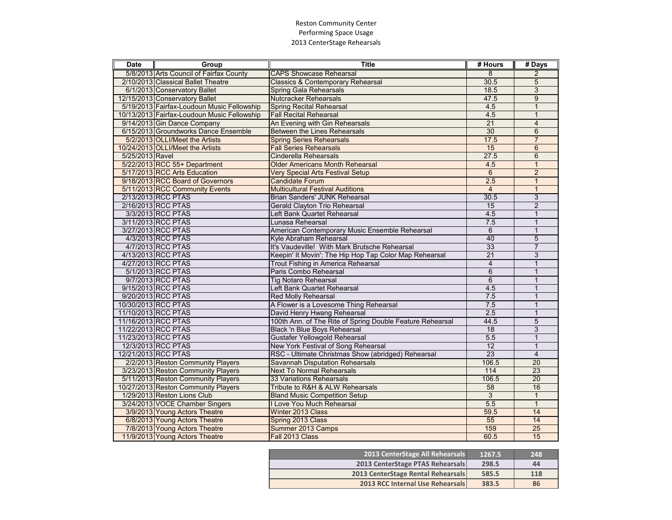### Reston Community Center Performing Space Usage 2013 CenterStage Rehearsals

| <b>Date</b>     | Group                                       | <b>Title</b>                                              | # Hours         | # Days          |
|-----------------|---------------------------------------------|-----------------------------------------------------------|-----------------|-----------------|
|                 | 5/8/2013 Arts Council of Fairfax County     | <b>CAPS Showcase Rehearsal</b>                            | 8               | 2               |
|                 | 2/10/2013 Classical Ballet Theatre          | <b>Classics &amp; Contemporary Rehearsal</b>              | 30.5            | 5               |
|                 | 6/1/2013 Conservatory Ballet                | Spring Gala Rehearsals                                    | 18.5            | 3               |
|                 | 12/15/2013 Conservatory Ballet              | <b>Nutcracker Rehearsals</b>                              | 47.5            | $\overline{9}$  |
|                 | 5/19/2013 Fairfax-Loudoun Music Fellowship  | <b>Spring Recital Rehearsal</b>                           | 4.5             | $\mathbf{1}$    |
|                 | 10/13/2013 Fairfax-Loudoun Music Fellowship | <b>Fall Recital Rehearsal</b>                             | 4.5             | $\mathbf{1}$    |
|                 | 9/14/2013 Gin Dance Company                 | An Evening with Gin Rehearsals                            | $\overline{21}$ | $\overline{4}$  |
|                 | 6/15/2013 Groundworks Dance Ensemble        | Between the Lines Rehearsals                              | 30              | 6               |
|                 | 5/2/2013 OLLI/Meet the Artists              | <b>Spring Series Rehearsals</b>                           | 17.5            | $\overline{7}$  |
|                 | 10/24/2013 OLLI/Meet the Artists            | <b>Fall Series Rehearsals</b>                             | 15              | 6               |
| 5/25/2013 Ravel |                                             | Cinderella Rehearsals                                     | 27.5            | 6               |
|                 | 5/22/2013 RCC 55+ Department                | <b>Older Americans Month Rehearsal</b>                    | 4.5             | $\mathbf{1}$    |
|                 | 5/17/2013 RCC Arts Education                | <b>Very Special Arts Festival Setup</b>                   | 6               | $\overline{2}$  |
|                 | 9/18/2013 RCC Board of Governors            | <b>Candidate Forum</b>                                    | 2.5             | $\mathbf{1}$    |
|                 | 5/11/2013 RCC Community Events              | <b>Multicultural Festival Auditions</b>                   | $\overline{4}$  | $\mathbf{1}$    |
|                 | 2/13/2013 RCC PTAS                          | Brian Sanders' JUNK Rehearsal                             | 30.5            | 3               |
|                 | 2/16/2013 RCC PTAS                          | Gerald Clayton Trio Rehearsal                             | $\overline{15}$ | $\overline{2}$  |
|                 | 3/3/2013 RCC PTAS                           | Left Bank Quartet Rehearsal                               | 4.5             | 1               |
|                 | 3/11/2013 RCC PTAS                          | Lunasa Rehearsal                                          | 7.5             | $\mathbf{1}$    |
|                 | 3/27/2013 RCC PTAS                          | American Contemporary Music Ensemble Rehearsal            | $6\phantom{1}$  | $\mathbf{1}$    |
|                 | 4/3/2013 RCC PTAS                           | Kyle Abraham Rehearsal                                    | 40              | $\overline{5}$  |
|                 | 4/7/2013 RCC PTAS                           | It's Vaudeville! With Mark Brutsche Rehearsal             | 33              | 7               |
|                 | 4/13/2013 RCC PTAS                          | Keepin' It Movin': The Hip Hop Tap Color Map Rehearsal    | $\overline{21}$ | 3               |
|                 | 4/27/2013 RCC PTAS                          | Trout Fishing in America Rehearsal                        | $\overline{4}$  | $\mathbf{1}$    |
|                 | 5/1/2013 RCC PTAS                           | Paris Combo Rehearsal                                     | $\overline{6}$  | 1               |
|                 | 9/7/2013 RCC PTAS                           | <b>Tig Notaro Rehearsal</b>                               | $6\phantom{1}$  | 1               |
|                 | 9/15/2013 RCC PTAS                          | Left Bank Quartet Rehearsal                               | 4.5             | $\mathbf{1}$    |
|                 | 9/20/2013 RCC PTAS                          | <b>Red Molly Rehearsal</b>                                | 7.5             | 1               |
|                 | 10/30/2013 RCC PTAS                         | A Flower is a Lovesome Thing Rehearsal                    | 7.5             | $\mathbf{1}$    |
|                 | 11/10/2013 RCC PTAS                         | David Henry Hwang Rehearsal                               | 2.5             | $\mathbf{1}$    |
|                 | 11/16/2013 RCC PTAS                         | 100th Ann. of The Rite of Spring Double Feature Rehearsal | 44.5            | 5               |
|                 | 11/22/2013 RCC PTAS                         | Black 'n Blue Boys Rehearsal                              | $\overline{18}$ | $\overline{3}$  |
|                 | 11/23/2013 RCC PTAS                         | Gustafer Yellowgold Rehearsal                             | 5.5             | 1               |
|                 | 12/3/2013 RCC PTAS                          | New York Festival of Song Rehearsal                       | $\overline{12}$ | 1               |
|                 | 12/21/2013 RCC PTAS                         | RSC - Ultimate Christmas Show (abridged) Rehearsal        | 23              | $\overline{4}$  |
|                 | 2/2/2013 Reston Community Players           | Savannah Disputation Rehearsals                           | 106.5           | 20              |
|                 | 3/23/2013 Reston Community Players          | <b>Next To Normal Rehearsals</b>                          | 114             | $\overline{23}$ |
|                 | 5/11/2013 Reston Community Players          | 33 Variations Rehearsals                                  | 106.5           | $\overline{20}$ |
|                 | 10/27/2013 Reston Community Players         | Tribute to R&H & ALW Rehearsals                           | 58              | 16              |
|                 | 1/29/2013 Reston Lions Club                 | <b>Bland Music Competition Setup</b>                      | $\overline{3}$  | $\mathbf{1}$    |
|                 | 3/24/2013 VOCE Chamber Singers              | I Love You Much Rehearsal                                 | 5.5             | $\mathbf{1}$    |
|                 | 3/9/2013 Young Actors Theatre               | Winter 2013 Class                                         | 59.5            | $\overline{14}$ |
|                 | 6/8/2013 Young Actors Theatre               | Spring 2013 Class                                         | 55              | 14              |
|                 | 7/8/2013 Young Actors Theatre               | Summer 2013 Camps                                         | 159             | 25              |
|                 | 11/9/2013 Young Actors Theatre              | Fall 2013 Class                                           | 60.5            | 15              |

| <b>2013 CenterStage All Rehearsals</b>  | 1267.5 | 248 |
|-----------------------------------------|--------|-----|
| 2013 CenterStage PTAS Rehearsals        | 298.5  | 44  |
| 2013 CenterStage Rental Rehearsals      | 585.5  | 118 |
| <b>2013 RCC Internal Use Rehearsals</b> | 383.5  | 86  |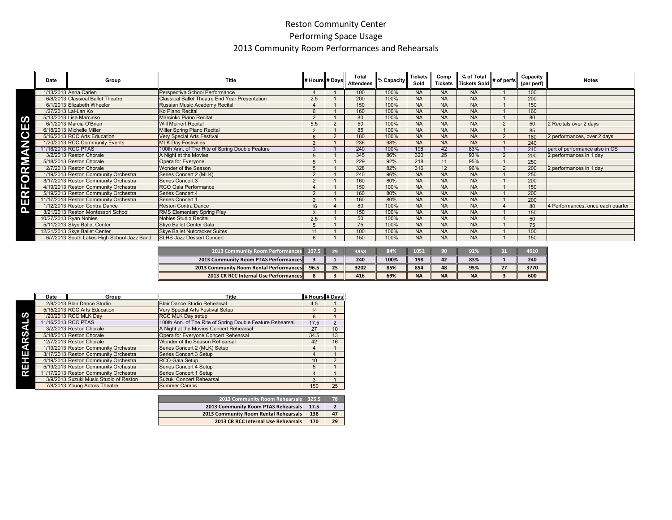## Reston Community Center Performing Space Usage 2013 Community Room Performances and Rehearsals

|           | Date | Group                                      | Title                                                 | # Hours # Days |          | Total<br><b>Attendees</b> | % Capacity | <b>Tickets</b><br>Sold | Comp<br><b>Tickets</b> | % of Total<br>Tickets Sold | # of perfs | Capacity<br>(per perf) | <b>Notes</b>                      |
|-----------|------|--------------------------------------------|-------------------------------------------------------|----------------|----------|---------------------------|------------|------------------------|------------------------|----------------------------|------------|------------------------|-----------------------------------|
|           |      | 1/13/2013 Anna Carlen                      | Perspectiva School Performance                        |                |          | 100                       | 100%       | <b>NA</b>              | <b>NA</b>              | <b>NA</b>                  |            | 100                    |                                   |
|           |      | 6/8/2013 Classical Ballet Theatre          | <b>Classical Ballet Theatre End Year Presentation</b> | 2.5            |          | 200                       | 100%       | <b>NA</b>              | <b>NA</b>              | <b>NA</b>                  |            | 200                    |                                   |
|           |      | 6/1/2013 Elizabeth Wheeler                 | Russian Music Academy Recital                         |                |          | 150                       | 100%       | <b>NA</b>              | <b>NA</b>              | <b>NA</b>                  |            | 150                    |                                   |
|           |      | 1/27/2013 Lai-Lan Ko                       | Ko Piano Recital                                      |                |          | 160                       | 100%       | <b>NA</b>              | <b>NA</b>              | <b>NA</b>                  |            | 160                    |                                   |
|           |      | 5/13/2013 Lisa Marcinko                    | Marcinko Piano Recital                                | $\Omega$       |          | 80                        | 100%       | <b>NA</b>              | <b>NA</b>              | <b>NA</b>                  |            | 80                     |                                   |
| Е         |      | 6/1/2013 Marcia O'Brien                    | <b>Will Meinert Recital</b>                           | 5.5            |          | 50                        | 100%       | <b>NA</b>              | <b>NA</b>              | <b>NA</b>                  |            | 50                     | 2 Recitals over 2 days            |
|           |      | 6/18/2013 Michelle Miller                  | Miller Spring Piano Recital                           |                |          | 85                        | 100%       | <b>NA</b>              | <b>NA</b>              | <b>NA</b>                  |            | 85                     |                                   |
| G         |      | 5/16/2013 RCC Arts Education               | <b>Very Special Arts Festival</b>                     |                | $\Omega$ | 180                       | 100%       | <b>NA</b>              | <b>NA</b>              | <b>NA</b>                  |            | 180                    | 2 performances, over 2 days       |
|           |      | 1/20/2013 RCC Community Events             | <b>MLK Day Festivities</b>                            |                |          | 236                       | 98%        | <b>NA</b>              | <b>NA</b>              | <b>NA</b>                  |            | 240                    |                                   |
| a         |      | 11/16/2013 RCC PTAS                        | 100th Ann. of The Rite of Spring Double Feature       |                |          | 240                       | 100%       | 198                    | 42                     | 83%                        |            | 240                    | part of performance also in CS    |
|           |      | 3/2/2013 Reston Chorale                    | A Night at the Movies                                 |                |          | 345                       | 86%        | 320                    | 25                     | 93%                        |            | 200                    | 2 performances in 1 day           |
|           |      | 5/18/2013 Reston Chorale                   | Opera for Everyone                                    |                |          | 229                       | 92%        | 218                    | 11                     | 95%                        |            | 250                    |                                   |
|           |      | 12/7/2013 Reston Chorale                   | Wonder of the Season                                  |                |          | 328                       | 82%        | 316                    | 12                     | 96%                        |            | 200                    | 2 performances in 1 day           |
|           |      | 1/19/2013 Reston Community Orchestra       | Series Concert 2 (MLK)                                |                |          | 240                       | 96%        | <b>NA</b>              | <b>NA</b>              | <b>NA</b>                  |            | 250                    |                                   |
| $\bullet$ |      | 3/17/2013 Reston Community Orchestra       | Series Concert 3                                      |                |          | 160                       | 80%        | <b>NA</b>              | <b>NA</b>              | <b>NA</b>                  |            | 200                    |                                   |
|           |      | 4/19/2013 Reston Community Orchestra       | RCO Gala Performance                                  |                |          | 150                       | 100%       | <b>NA</b>              | <b>NA</b>              | <b>NA</b>                  |            | 150                    |                                   |
|           |      | 5/19/2013 Reston Community Orchestra       | Series Concert 4                                      |                |          | 160                       | 80%        | <b>NA</b>              | <b>NA</b>              | <b>NA</b>                  |            | 200                    |                                   |
| Щ         |      | 11/17/2013 Reston Community Orchestra      | <b>Series Concert 1</b>                               | $\Omega$       |          | 160                       | 80%        | <b>NA</b>              | <b>NA</b>              | <b>NA</b>                  |            | 200                    |                                   |
| Tal.      |      | 1/12/2013 Reston Contra Dance              | <b>Reston Contra Dance</b>                            | 16             |          | 80                        | 100%       | <b>NA</b>              | <b>NA</b>              | <b>NA</b>                  |            | 80                     | 4 Performances, once each quarter |
|           |      | 3/21/2013 Reston Montessori School         | RMS Elementary Spring Play                            |                |          | 150                       | 100%       | <b>NA</b>              | <b>NA</b>              | <b>NA</b>                  |            | 150                    |                                   |
|           |      | 10/27/2013 Ryan Nobles                     | <b>Nobles Studio Recital</b>                          | 2.5            |          | 50                        | 100%       | <b>NA</b>              | <b>NA</b>              | <b>NA</b>                  |            | 50                     |                                   |
|           |      | 5/11/2013 Skye Ballet Center               | Skye Ballet Center Gala                               |                |          | 75                        | 100%       | <b>NA</b>              | <b>NA</b>              | <b>NA</b>                  |            | 75                     |                                   |
|           |      | 12/21/2013 Skye Ballet Center              | <b>Skye Ballet Nutcracker Suites</b>                  |                |          | 100                       | 100%       | <b>NA</b>              | <b>NA</b>              | <b>NA</b>                  |            | 100                    |                                   |
|           |      | 6/7/2013 South Lakes High School Jazz Band | <b>SLHS Jazz Dessert Concert</b>                      |                |          | 150                       | 100%       | <b>NA</b>              | <b>NA</b>              | <b>NA</b>                  |            | 150                    |                                   |

| 2013 Community Room Performances 107.5         |      |    | 3858 | 84%  | 1052      | 90        | 92%       | 4610 |
|------------------------------------------------|------|----|------|------|-----------|-----------|-----------|------|
| <b>2013 Community Room PTAS Performances</b>   |      |    | 240  | 100% | 198       | 42        | 83%       | 240  |
| <b>2013 Community Room Rental Performances</b> | 96.5 | 25 | 3202 | 85%  | 854       | 48        | 95%       | 3770 |
| <b>2013 CR RCC Internal Use Performances</b>   |      |    | 416  | 69%  | <b>NA</b> | <b>NA</b> | <b>NA</b> | 600  |

|   | Date | Group                                  | Title                                                     | # Hours # Days |                |
|---|------|----------------------------------------|-----------------------------------------------------------|----------------|----------------|
|   |      | 2/9/2013 Blair Dance Studio            | <b>Blair Dance Studio Rehearsal</b>                       | 4.5            |                |
|   |      | 5/15/2013 RCC Arts Education           | <b>Very Special Arts Festival Setup</b>                   | 14             | 3              |
| ഗ |      | 1/20/2013 RCC MLK Day                  | <b>RCC MLK Day setup</b>                                  | 6              |                |
|   |      | 11/16/2013 RCC PTAS                    | 100th Ann. of The Rite of Spring Double Feature Rehearsal | 17.5           | $\mathfrak{p}$ |
| ⋖ |      | 3/2/2013 Reston Chorale                | A Night at the Movies Concert Rehearsal                   | 27             | 10             |
| က |      | 5/18/2013 Reston Chorale               | Opera for Everyone Concert Rehearsal                      | 34.5           | 13             |
| ≃ |      | 12/7/2013 Reston Chorale               | Wonder of the Season Rehearsal                            | 42             | 16             |
| а |      | 1/19/2013 Reston Community Orchestra   | Series Concert 2 (MLK) Setup                              | 4              |                |
| ш |      | 3/17/2013 Reston Community Orchestra   | Series Concert 3 Setup                                    | 4              |                |
|   |      | 4/19/2013 Reston Community Orchestra   | RCO Gala Setup                                            | 10             | $\mathfrak{p}$ |
| ш |      | 5/19/2013 Reston Community Orchestra   | Series Concert 4 Setup                                    | 5              |                |
| œ |      | 11/17/2013 Reston Community Orchestra  | Series Concert 1 Setup                                    | 4              |                |
|   |      | 3/9/2013 Suzuki Music Studio of Reston | Suzuki Concert Rehearsal                                  | 3              |                |
|   |      | 7/8/2013 Young Actors Theatre          | <b>Summer Camps</b>                                       | 150            | 25             |

| 2013 Community Room Rehearsals 325.5  |      | $\sqrt{3}$ |
|---------------------------------------|------|------------|
| 2013 Community Room PTAS Rehearsals   | 17.5 |            |
| 2013 Community Room Rental Rehearsals | 138  | 47         |
| 2013 CR RCC Internal Use Rehearsals   | 170  | 29         |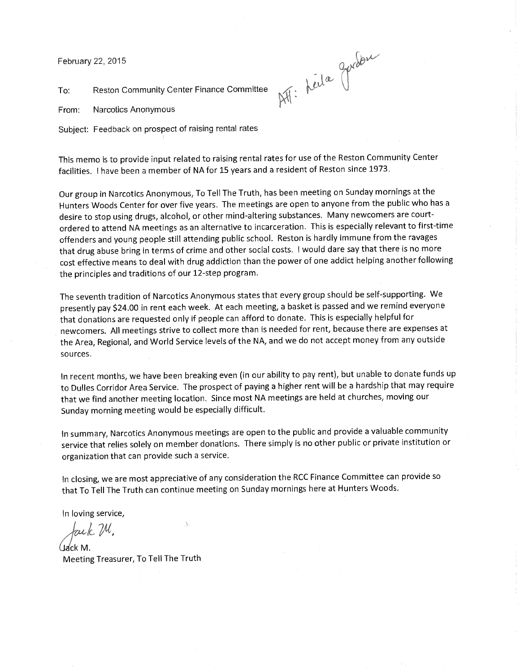February 22, 2015

ATT: Keila Gurdon

To: Reston Community Center Finance Committee

From: Narcotics Anonymous

Subject: Feedback on prospect of raising rental rates

This memo is to provide input related to raising rental rates for use of the Reston Community Center facilities. I have been a member of NA for 15 years and a resident of Reston since 1973.

Our group in Narcotics Anonymous, To Tell The Truth, has been meeting on Sunday mornings at the Hunters Woods Center for over five years. The meetings are open to anyone from the public who has a desire to stop using drugs, alcohol, or other mind-altering substances. Many newcomers are courtordered to attend NA meetings as an alternative to incarceration. This is especially relevant to first-time offenders and young people still attending public school. Reston is hardly immune from the ravages that drug abuse bring in terms of crime and other social costs. I would dare say that there is no more cost effective means to deal with drug addiction than the power of one addict helping another following the principles and traditions of our 12-step program.

The seventh tradition of Narcotics Anonymous states that every group should be self-supporting. We presently pay \$24.00 in rent each week. At each meeting, a basket is passed and we remind everyone that donations are requested only if people can afford to donate. This is especially helpful for newcomers. All meetings strive to collect more than is needed for rent, because there are expenses at the Area, Regional, and World Service levels of the NA, and we do not accept money from any outside sources.

In recent months, we have been breaking even (in our ability to pay rent), but unable to donate funds up to Dulles Corridor Area Service. The prospect of paying a higher rent will be a hardship that may require that we find another meeting location. Since most NA meetings are held at churches, moving our Sunday morning meeting would be especially difficult.

In summary, Narcotics Anonymous meetings are open to the public and provide a valuable community service that relies solely on member donations. There simply is no other public or private institution or organization that can provide such a service.

In closing, we are most appreciative of any consideration the RCC Finance Committee can provide so that To Tell The Truth can continue meeting on Sunday mornings here at Hunters Woods.

In loving service,

*Jm-L Itt,* 

Udck M. Meeting Treasurer, To Tell The Truth